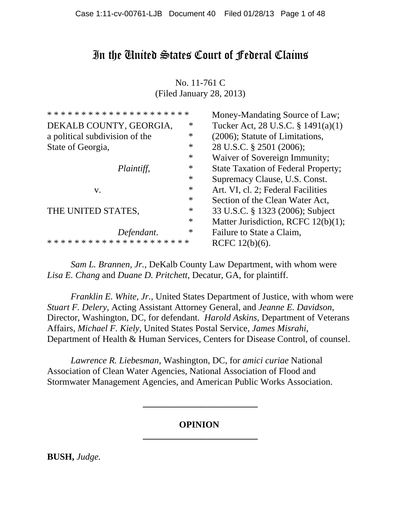# In the United States Court of Federal Claims

No. 11-761 C (Filed January 28, 2013)

| * * * * * * * * * * * * * * * * * * * * | Money-Mandating Source of Law;             |
|-----------------------------------------|--------------------------------------------|
| ∗                                       | Tucker Act, 28 U.S.C. § 1491(a)(1)         |
| ∗                                       | (2006); Statute of Limitations,            |
| ∗                                       | 28 U.S.C. § 2501 (2006);                   |
| ∗                                       | Waiver of Sovereign Immunity;              |
| ∗                                       | <b>State Taxation of Federal Property;</b> |
| $\ast$                                  | Supremacy Clause, U.S. Const.              |
| ∗                                       | Art. VI, cl. 2; Federal Facilities         |
| ∗                                       | Section of the Clean Water Act,            |
| ∗                                       | 33 U.S.C. § 1323 (2006); Subject           |
| ∗                                       | Matter Jurisdiction, RCFC 12(b)(1);        |
| ∗                                       | Failure to State a Claim,                  |
| * * * * * * * * * * * * * * * *         | RCFC $12(b)(6)$ .                          |
|                                         |                                            |

*Sam L. Brannen, Jr.*, DeKalb County Law Department, with whom were *Lisa E. Chang* and *Duane D. Pritchett*, Decatur, GA, for plaintiff.

*Franklin E. White, Jr.*, United States Department of Justice, with whom were *Stuart F. Delery*, Acting Assistant Attorney General, and *Jeanne E. Davidson*, Director, Washington, DC, for defendant. *Harold Askins*, Department of Veterans Affairs, *Michael F. Kiely*, United States Postal Service, *James Misrahi*, Department of Health & Human Services, Centers for Disease Control, of counsel.

*Lawrence R. Liebesman*, Washington, DC, for *amici curiae* National Association of Clean Water Agencies, National Association of Flood and Stormwater Management Agencies, and American Public Works Association.

## **OPINION \_\_\_\_\_\_\_\_\_\_\_\_\_\_\_\_\_\_\_\_\_\_\_\_\_**

**\_\_\_\_\_\_\_\_\_\_\_\_\_\_\_\_\_\_\_\_\_\_\_\_\_**

**BUSH,** *Judge.*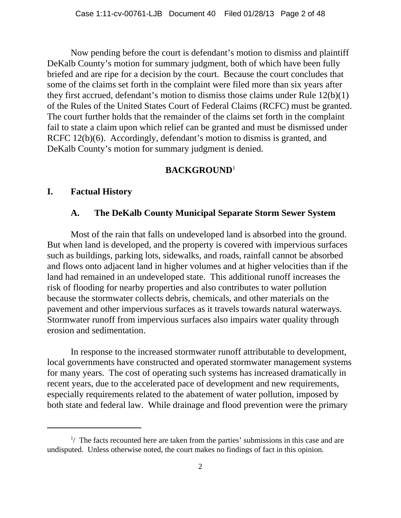Now pending before the court is defendant's motion to dismiss and plaintiff DeKalb County's motion for summary judgment, both of which have been fully briefed and are ripe for a decision by the court. Because the court concludes that some of the claims set forth in the complaint were filed more than six years after they first accrued, defendant's motion to dismiss those claims under Rule 12(b)(1) of the Rules of the United States Court of Federal Claims (RCFC) must be granted. The court further holds that the remainder of the claims set forth in the complaint fail to state a claim upon which relief can be granted and must be dismissed under RCFC 12(b)(6). Accordingly, defendant's motion to dismiss is granted, and DeKalb County's motion for summary judgment is denied.

# **BACKGROUND**<sup>1</sup>

### **I. Factual History**

# **A. The DeKalb County Municipal Separate Storm Sewer System**

Most of the rain that falls on undeveloped land is absorbed into the ground. But when land is developed, and the property is covered with impervious surfaces such as buildings, parking lots, sidewalks, and roads, rainfall cannot be absorbed and flows onto adjacent land in higher volumes and at higher velocities than if the land had remained in an undeveloped state. This additional runoff increases the risk of flooding for nearby properties and also contributes to water pollution because the stormwater collects debris, chemicals, and other materials on the pavement and other impervious surfaces as it travels towards natural waterways. Stormwater runoff from impervious surfaces also impairs water quality through erosion and sedimentation.

In response to the increased stormwater runoff attributable to development, local governments have constructed and operated stormwater management systems for many years. The cost of operating such systems has increased dramatically in recent years, due to the accelerated pace of development and new requirements, especially requirements related to the abatement of water pollution, imposed by both state and federal law. While drainage and flood prevention were the primary

 $\frac{1}{1}$  The facts recounted here are taken from the parties' submissions in this case and are undisputed. Unless otherwise noted, the court makes no findings of fact in this opinion.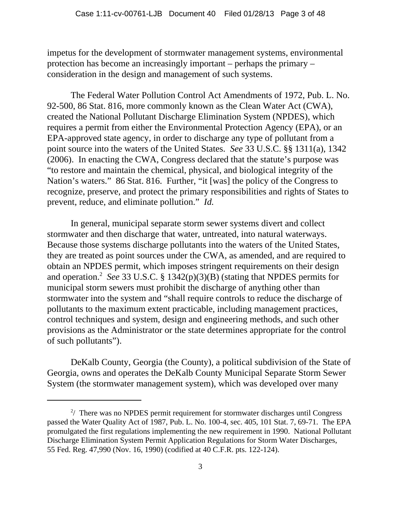impetus for the development of stormwater management systems, environmental protection has become an increasingly important – perhaps the primary – consideration in the design and management of such systems.

The Federal Water Pollution Control Act Amendments of 1972, Pub. L. No. 92-500, 86 Stat. 816, more commonly known as the Clean Water Act (CWA), created the National Pollutant Discharge Elimination System (NPDES), which requires a permit from either the Environmental Protection Agency (EPA), or an EPA-approved state agency, in order to discharge any type of pollutant from a point source into the waters of the United States. *See* 33 U.S.C. §§ 1311(a), 1342 (2006). In enacting the CWA, Congress declared that the statute's purpose was "to restore and maintain the chemical, physical, and biological integrity of the Nation's waters." 86 Stat. 816. Further, "it [was] the policy of the Congress to recognize, preserve, and protect the primary responsibilities and rights of States to prevent, reduce, and eliminate pollution." *Id.*

In general, municipal separate storm sewer systems divert and collect stormwater and then discharge that water, untreated, into natural waterways. Because those systems discharge pollutants into the waters of the United States, they are treated as point sources under the CWA, as amended, and are required to obtain an NPDES permit, which imposes stringent requirements on their design and operation.<sup>2</sup> See 33 U.S.C. § 1342(p)(3)(B) (stating that NPDES permits for municipal storm sewers must prohibit the discharge of anything other than stormwater into the system and "shall require controls to reduce the discharge of pollutants to the maximum extent practicable, including management practices, control techniques and system, design and engineering methods, and such other provisions as the Administrator or the state determines appropriate for the control of such pollutants").

DeKalb County, Georgia (the County), a political subdivision of the State of Georgia, owns and operates the DeKalb County Municipal Separate Storm Sewer System (the stormwater management system), which was developed over many

 $2/$  There was no NPDES permit requirement for stormwater discharges until Congress passed the Water Quality Act of 1987, Pub. L. No. 100-4, sec. 405, 101 Stat. 7, 69-71. The EPA promulgated the first regulations implementing the new requirement in 1990. National Pollutant Discharge Elimination System Permit Application Regulations for Storm Water Discharges, 55 Fed. Reg. 47,990 (Nov. 16, 1990) (codified at 40 C.F.R. pts. 122-124).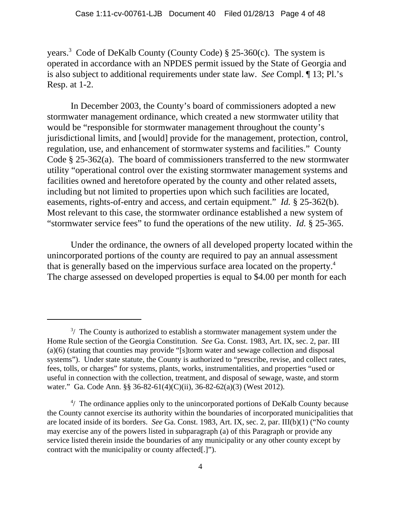years.<sup>3</sup> Code of DeKalb County (County Code) § 25-360(c). The system is operated in accordance with an NPDES permit issued by the State of Georgia and is also subject to additional requirements under state law. *See* Compl. ¶ 13; Pl.'s Resp. at 1-2.

In December 2003, the County's board of commissioners adopted a new stormwater management ordinance, which created a new stormwater utility that would be "responsible for stormwater management throughout the county's jurisdictional limits, and [would] provide for the management, protection, control, regulation, use, and enhancement of stormwater systems and facilities." County Code § 25-362(a). The board of commissioners transferred to the new stormwater utility "operational control over the existing stormwater management systems and facilities owned and heretofore operated by the county and other related assets, including but not limited to properties upon which such facilities are located, easements, rights-of-entry and access, and certain equipment." *Id.* § 25-362(b). Most relevant to this case, the stormwater ordinance established a new system of "stormwater service fees" to fund the operations of the new utility. *Id.* § 25-365.

Under the ordinance, the owners of all developed property located within the unincorporated portions of the county are required to pay an annual assessment that is generally based on the impervious surface area located on the property.4 The charge assessed on developed properties is equal to \$4.00 per month for each

 $3/$  The County is authorized to establish a stormwater management system under the Home Rule section of the Georgia Constitution. *See* Ga. Const. 1983, Art. IX, sec. 2, par. III (a)(6) (stating that counties may provide "[s]torm water and sewage collection and disposal systems"). Under state statute, the County is authorized to "prescribe, revise, and collect rates, fees, tolls, or charges" for systems, plants, works, instrumentalities, and properties "used or useful in connection with the collection, treatment, and disposal of sewage, waste, and storm water." Ga. Code Ann. §§ 36-82-61(4)(C)(ii), 36-82-62(a)(3) (West 2012).

<sup>&</sup>lt;sup>4</sup>/ The ordinance applies only to the unincorporated portions of DeKalb County because the County cannot exercise its authority within the boundaries of incorporated municipalities that are located inside of its borders. *See* Ga. Const. 1983, Art. IX, sec. 2, par. III(b)(1) ("No county may exercise any of the powers listed in subparagraph (a) of this Paragraph or provide any service listed therein inside the boundaries of any municipality or any other county except by contract with the municipality or county affected[.]").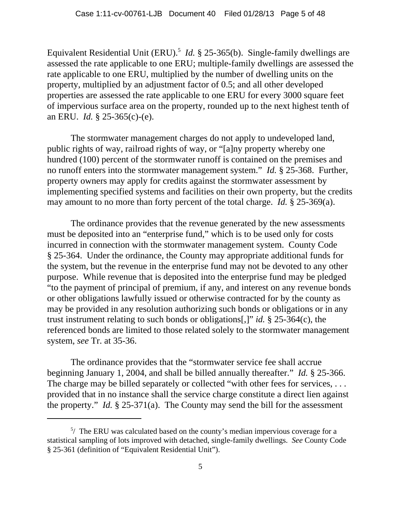Equivalent Residential Unit (ERU).<sup>5</sup> *Id.* § 25-365(b). Single-family dwellings are assessed the rate applicable to one ERU; multiple-family dwellings are assessed the rate applicable to one ERU, multiplied by the number of dwelling units on the property, multiplied by an adjustment factor of 0.5; and all other developed properties are assessed the rate applicable to one ERU for every 3000 square feet of impervious surface area on the property, rounded up to the next highest tenth of an ERU. *Id.* § 25-365(c)-(e).

The stormwater management charges do not apply to undeveloped land, public rights of way, railroad rights of way, or "[a]ny property whereby one hundred (100) percent of the stormwater runoff is contained on the premises and no runoff enters into the stormwater management system." *Id.* § 25-368. Further, property owners may apply for credits against the stormwater assessment by implementing specified systems and facilities on their own property, but the credits may amount to no more than forty percent of the total charge. *Id.* § 25-369(a).

The ordinance provides that the revenue generated by the new assessments must be deposited into an "enterprise fund," which is to be used only for costs incurred in connection with the stormwater management system. County Code § 25-364. Under the ordinance, the County may appropriate additional funds for the system, but the revenue in the enterprise fund may not be devoted to any other purpose. While revenue that is deposited into the enterprise fund may be pledged "to the payment of principal of premium, if any, and interest on any revenue bonds or other obligations lawfully issued or otherwise contracted for by the county as may be provided in any resolution authorizing such bonds or obligations or in any trust instrument relating to such bonds or obligations[,]" *id.* § 25-364(c), the referenced bonds are limited to those related solely to the stormwater management system, *see* Tr. at 35-36.

The ordinance provides that the "stormwater service fee shall accrue beginning January 1, 2004, and shall be billed annually thereafter." *Id.* § 25-366. The charge may be billed separately or collected "with other fees for services, ... provided that in no instance shall the service charge constitute a direct lien against the property." *Id.* § 25-371(a). The County may send the bill for the assessment

 $5/$  The ERU was calculated based on the county's median impervious coverage for a statistical sampling of lots improved with detached, single-family dwellings. *See* County Code § 25-361 (definition of "Equivalent Residential Unit").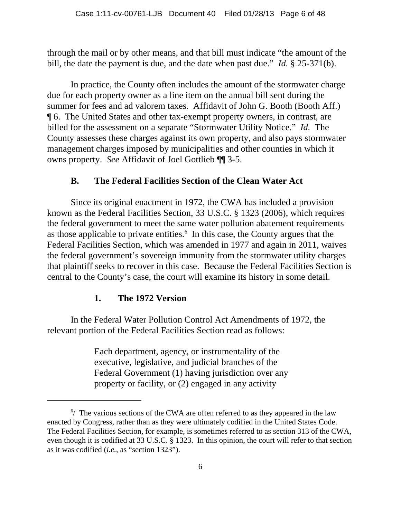through the mail or by other means, and that bill must indicate "the amount of the bill, the date the payment is due, and the date when past due." *Id.* § 25-371(b).

In practice, the County often includes the amount of the stormwater charge due for each property owner as a line item on the annual bill sent during the summer for fees and ad valorem taxes. Affidavit of John G. Booth (Booth Aff.) ¶ 6. The United States and other tax-exempt property owners, in contrast, are billed for the assessment on a separate "Stormwater Utility Notice." *Id.* The County assesses these charges against its own property, and also pays stormwater management charges imposed by municipalities and other counties in which it owns property. *See* Affidavit of Joel Gottlieb ¶¶ 3-5.

# **B. The Federal Facilities Section of the Clean Water Act**

Since its original enactment in 1972, the CWA has included a provision known as the Federal Facilities Section, 33 U.S.C. § 1323 (2006), which requires the federal government to meet the same water pollution abatement requirements as those applicable to private entities. $6\,$  In this case, the County argues that the Federal Facilities Section, which was amended in 1977 and again in 2011, waives the federal government's sovereign immunity from the stormwater utility charges that plaintiff seeks to recover in this case. Because the Federal Facilities Section is central to the County's case, the court will examine its history in some detail.

### **1. The 1972 Version**

In the Federal Water Pollution Control Act Amendments of 1972, the relevant portion of the Federal Facilities Section read as follows:

> Each department, agency, or instrumentality of the executive, legislative, and judicial branches of the Federal Government (1) having jurisdiction over any property or facility, or (2) engaged in any activity

<sup>&</sup>lt;sup>6</sup>/ The various sections of the CWA are often referred to as they appeared in the law enacted by Congress, rather than as they were ultimately codified in the United States Code. The Federal Facilities Section, for example, is sometimes referred to as section 313 of the CWA, even though it is codified at 33 U.S.C. § 1323. In this opinion, the court will refer to that section as it was codified (*i.e.*, as "section 1323").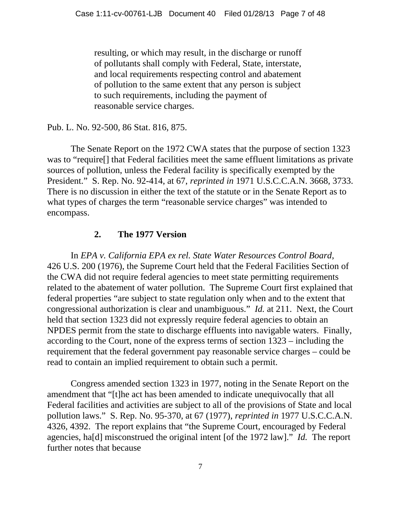resulting, or which may result, in the discharge or runoff of pollutants shall comply with Federal, State, interstate, and local requirements respecting control and abatement of pollution to the same extent that any person is subject to such requirements, including the payment of reasonable service charges.

Pub. L. No. 92-500, 86 Stat. 816, 875.

The Senate Report on the 1972 CWA states that the purpose of section 1323 was to "require[] that Federal facilities meet the same effluent limitations as private sources of pollution, unless the Federal facility is specifically exempted by the President." S. Rep. No. 92-414, at 67, *reprinted in* 1971 U.S.C.C.A.N. 3668, 3733. There is no discussion in either the text of the statute or in the Senate Report as to what types of charges the term "reasonable service charges" was intended to encompass.

### **2. The 1977 Version**

In *EPA v. California EPA ex rel. State Water Resources Control Board*, 426 U.S. 200 (1976), the Supreme Court held that the Federal Facilities Section of the CWA did not require federal agencies to meet state permitting requirements related to the abatement of water pollution. The Supreme Court first explained that federal properties "are subject to state regulation only when and to the extent that congressional authorization is clear and unambiguous." *Id.* at 211. Next, the Court held that section 1323 did not expressly require federal agencies to obtain an NPDES permit from the state to discharge effluents into navigable waters. Finally, according to the Court, none of the express terms of section 1323 – including the requirement that the federal government pay reasonable service charges – could be read to contain an implied requirement to obtain such a permit.

Congress amended section 1323 in 1977, noting in the Senate Report on the amendment that "[t]he act has been amended to indicate unequivocally that all Federal facilities and activities are subject to all of the provisions of State and local pollution laws." S. Rep. No. 95-370, at 67 (1977), *reprinted in* 1977 U.S.C.C.A.N. 4326, 4392. The report explains that "the Supreme Court, encouraged by Federal agencies, ha[d] misconstrued the original intent [of the 1972 law]." *Id.* The report further notes that because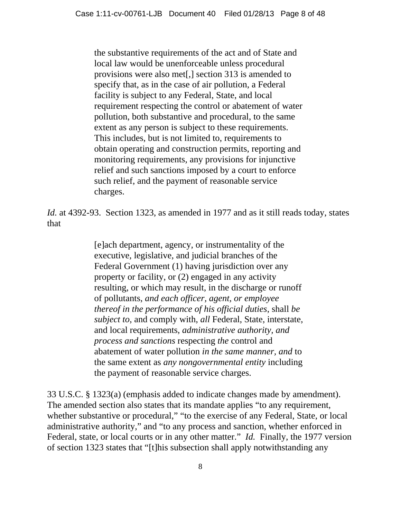the substantive requirements of the act and of State and local law would be unenforceable unless procedural provisions were also met[,] section 313 is amended to specify that, as in the case of air pollution, a Federal facility is subject to any Federal, State, and local requirement respecting the control or abatement of water pollution, both substantive and procedural, to the same extent as any person is subject to these requirements. This includes, but is not limited to, requirements to obtain operating and construction permits, reporting and monitoring requirements, any provisions for injunctive relief and such sanctions imposed by a court to enforce such relief, and the payment of reasonable service charges.

*Id.* at 4392-93. Section 1323, as amended in 1977 and as it still reads today, states that

> [e]ach department, agency, or instrumentality of the executive, legislative, and judicial branches of the Federal Government (1) having jurisdiction over any property or facility, or (2) engaged in any activity resulting, or which may result, in the discharge or runoff of pollutants, *and each officer, agent, or employee thereof in the performance of his official duties*, shall *be subject to*, and comply with, *all* Federal, State, interstate, and local requirements, *administrative authority, and process and sanctions* respecting *the* control and abatement of water pollution *in the same manner, and* to the same extent as *any nongovernmental entity* including the payment of reasonable service charges.

33 U.S.C. § 1323(a) (emphasis added to indicate changes made by amendment). The amended section also states that its mandate applies "to any requirement, whether substantive or procedural," "to the exercise of any Federal, State, or local administrative authority," and "to any process and sanction, whether enforced in Federal, state, or local courts or in any other matter." *Id.* Finally, the 1977 version of section 1323 states that "[t]his subsection shall apply notwithstanding any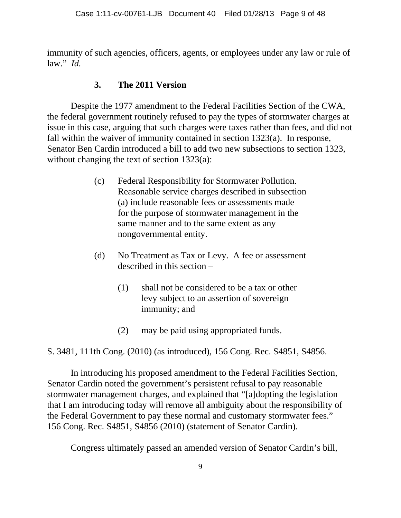immunity of such agencies, officers, agents, or employees under any law or rule of law." *Id.*

# **3. The 2011 Version**

Despite the 1977 amendment to the Federal Facilities Section of the CWA, the federal government routinely refused to pay the types of stormwater charges at issue in this case, arguing that such charges were taxes rather than fees, and did not fall within the waiver of immunity contained in section 1323(a). In response, Senator Ben Cardin introduced a bill to add two new subsections to section 1323, without changing the text of section 1323(a):

- (c) Federal Responsibility for Stormwater Pollution. Reasonable service charges described in subsection (a) include reasonable fees or assessments made for the purpose of stormwater management in the same manner and to the same extent as any nongovernmental entity.
- (d) No Treatment as Tax or Levy. A fee or assessment described in this section –
	- (1) shall not be considered to be a tax or other levy subject to an assertion of sovereign immunity; and
	- (2) may be paid using appropriated funds.

S. 3481, 111th Cong. (2010) (as introduced), 156 Cong. Rec. S4851, S4856.

In introducing his proposed amendment to the Federal Facilities Section, Senator Cardin noted the government's persistent refusal to pay reasonable stormwater management charges, and explained that "[a]dopting the legislation that I am introducing today will remove all ambiguity about the responsibility of the Federal Government to pay these normal and customary stormwater fees." 156 Cong. Rec. S4851, S4856 (2010) (statement of Senator Cardin).

Congress ultimately passed an amended version of Senator Cardin's bill,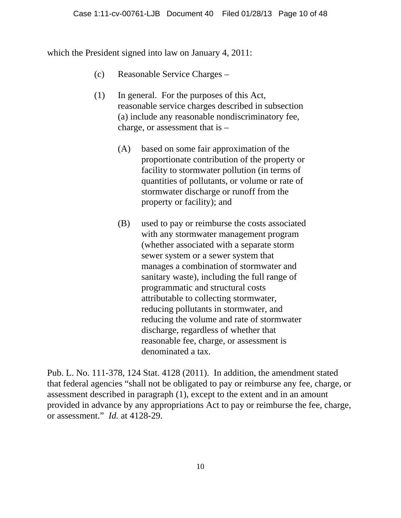which the President signed into law on January 4, 2011:

- (c) Reasonable Service Charges –
- (1) In general. For the purposes of this Act, reasonable service charges described in subsection (a) include any reasonable nondiscriminatory fee, charge, or assessment that is –
	- (A) based on some fair approximation of the proportionate contribution of the property or facility to stormwater pollution (in terms of quantities of pollutants, or volume or rate of stormwater discharge or runoff from the property or facility); and
	- (B) used to pay or reimburse the costs associated with any stormwater management program (whether associated with a separate storm sewer system or a sewer system that manages a combination of stormwater and sanitary waste), including the full range of programmatic and structural costs attributable to collecting stormwater, reducing pollutants in stormwater, and reducing the volume and rate of stormwater discharge, regardless of whether that reasonable fee, charge, or assessment is denominated a tax.

Pub. L. No. 111-378, 124 Stat. 4128 (2011). In addition, the amendment stated that federal agencies "shall not be obligated to pay or reimburse any fee, charge, or assessment described in paragraph (1), except to the extent and in an amount provided in advance by any appropriations Act to pay or reimburse the fee, charge, or assessment." *Id.* at 4128-29.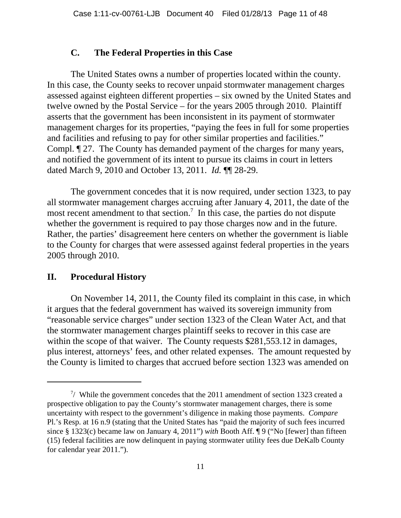#### **C. The Federal Properties in this Case**

The United States owns a number of properties located within the county. In this case, the County seeks to recover unpaid stormwater management charges assessed against eighteen different properties – six owned by the United States and twelve owned by the Postal Service – for the years 2005 through 2010. Plaintiff asserts that the government has been inconsistent in its payment of stormwater management charges for its properties, "paying the fees in full for some properties and facilities and refusing to pay for other similar properties and facilities." Compl. ¶ 27. The County has demanded payment of the charges for many years, and notified the government of its intent to pursue its claims in court in letters dated March 9, 2010 and October 13, 2011. *Id.* ¶¶ 28-29.

The government concedes that it is now required, under section 1323, to pay all stormwater management charges accruing after January 4, 2011, the date of the most recent amendment to that section.<sup>7</sup> In this case, the parties do not dispute whether the government is required to pay those charges now and in the future. Rather, the parties' disagreement here centers on whether the government is liable to the County for charges that were assessed against federal properties in the years 2005 through 2010.

#### **II. Procedural History**

On November 14, 2011, the County filed its complaint in this case, in which it argues that the federal government has waived its sovereign immunity from "reasonable service charges" under section 1323 of the Clean Water Act, and that the stormwater management charges plaintiff seeks to recover in this case are within the scope of that waiver. The County requests \$281,553.12 in damages, plus interest, attorneys' fees, and other related expenses. The amount requested by the County is limited to charges that accrued before section 1323 was amended on

 $7/$  While the government concedes that the 2011 amendment of section 1323 created a prospective obligation to pay the County's stormwater management charges, there is some uncertainty with respect to the government's diligence in making those payments. *Compare* Pl.'s Resp. at 16 n.9 (stating that the United States has "paid the majority of such fees incurred since § 1323(c) became law on January 4, 2011") *with* Booth Aff. ¶ 9 ("No [fewer] than fifteen (15) federal facilities are now delinquent in paying stormwater utility fees due DeKalb County for calendar year 2011.").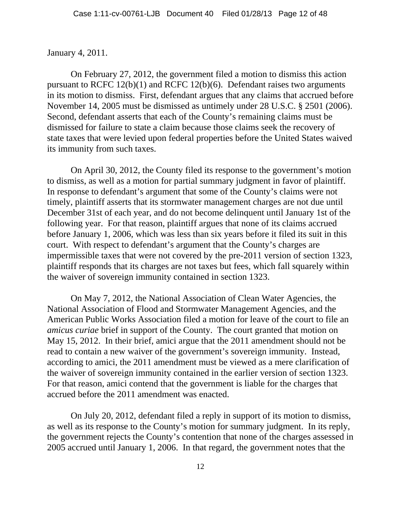#### January 4, 2011.

On February 27, 2012, the government filed a motion to dismiss this action pursuant to RCFC 12(b)(1) and RCFC 12(b)(6). Defendant raises two arguments in its motion to dismiss. First, defendant argues that any claims that accrued before November 14, 2005 must be dismissed as untimely under 28 U.S.C. § 2501 (2006). Second, defendant asserts that each of the County's remaining claims must be dismissed for failure to state a claim because those claims seek the recovery of state taxes that were levied upon federal properties before the United States waived its immunity from such taxes.

On April 30, 2012, the County filed its response to the government's motion to dismiss, as well as a motion for partial summary judgment in favor of plaintiff. In response to defendant's argument that some of the County's claims were not timely, plaintiff asserts that its stormwater management charges are not due until December 31st of each year, and do not become delinquent until January 1st of the following year. For that reason, plaintiff argues that none of its claims accrued before January 1, 2006, which was less than six years before it filed its suit in this court. With respect to defendant's argument that the County's charges are impermissible taxes that were not covered by the pre-2011 version of section 1323, plaintiff responds that its charges are not taxes but fees, which fall squarely within the waiver of sovereign immunity contained in section 1323.

On May 7, 2012, the National Association of Clean Water Agencies, the National Association of Flood and Stormwater Management Agencies, and the American Public Works Association filed a motion for leave of the court to file an *amicus curiae* brief in support of the County. The court granted that motion on May 15, 2012. In their brief, amici argue that the 2011 amendment should not be read to contain a new waiver of the government's sovereign immunity. Instead, according to amici, the 2011 amendment must be viewed as a mere clarification of the waiver of sovereign immunity contained in the earlier version of section 1323. For that reason, amici contend that the government is liable for the charges that accrued before the 2011 amendment was enacted.

On July 20, 2012, defendant filed a reply in support of its motion to dismiss, as well as its response to the County's motion for summary judgment. In its reply, the government rejects the County's contention that none of the charges assessed in 2005 accrued until January 1, 2006. In that regard, the government notes that the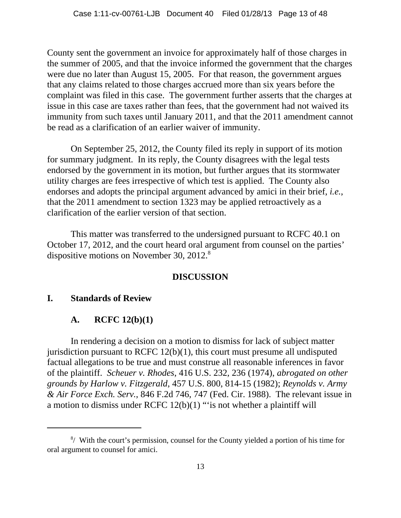County sent the government an invoice for approximately half of those charges in the summer of 2005, and that the invoice informed the government that the charges were due no later than August 15, 2005. For that reason, the government argues that any claims related to those charges accrued more than six years before the complaint was filed in this case. The government further asserts that the charges at issue in this case are taxes rather than fees, that the government had not waived its immunity from such taxes until January 2011, and that the 2011 amendment cannot be read as a clarification of an earlier waiver of immunity.

On September 25, 2012, the County filed its reply in support of its motion for summary judgment. In its reply, the County disagrees with the legal tests endorsed by the government in its motion, but further argues that its stormwater utility charges are fees irrespective of which test is applied. The County also endorses and adopts the principal argument advanced by amici in their brief, *i.e.*, that the 2011 amendment to section 1323 may be applied retroactively as a clarification of the earlier version of that section.

This matter was transferred to the undersigned pursuant to RCFC 40.1 on October 17, 2012, and the court heard oral argument from counsel on the parties' dispositive motions on November 30, 2012.<sup>8</sup>

### **DISCUSSION**

### **I. Standards of Review**

### **A. RCFC 12(b)(1)**

In rendering a decision on a motion to dismiss for lack of subject matter jurisdiction pursuant to RCFC 12(b)(1), this court must presume all undisputed factual allegations to be true and must construe all reasonable inferences in favor of the plaintiff. *Scheuer v. Rhodes*, 416 U.S. 232, 236 (1974), *abrogated on other grounds by Harlow v. Fitzgerald*, 457 U.S. 800, 814-15 (1982); *Reynolds v. Army & Air Force Exch. Serv.*, 846 F.2d 746, 747 (Fed. Cir. 1988). The relevant issue in a motion to dismiss under RCFC 12(b)(1) "'is not whether a plaintiff will

<sup>&</sup>lt;sup>8</sup>/ With the court's permission, counsel for the County yielded a portion of his time for oral argument to counsel for amici.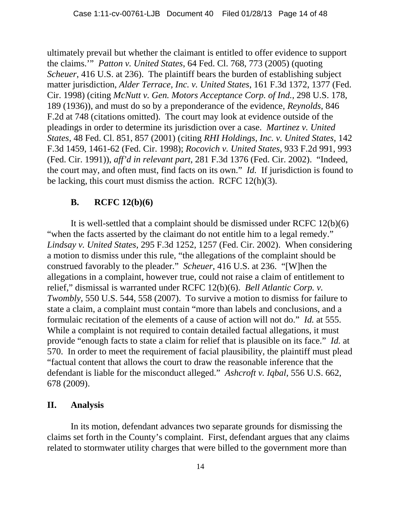ultimately prevail but whether the claimant is entitled to offer evidence to support the claims.'" *Patton v. United States*, 64 Fed. Cl. 768, 773 (2005) (quoting *Scheuer*, 416 U.S. at 236). The plaintiff bears the burden of establishing subject matter jurisdiction, *Alder Terrace, Inc. v. United States*, 161 F.3d 1372, 1377 (Fed. Cir. 1998) (citing *McNutt v. Gen. Motors Acceptance Corp. of Ind.*, 298 U.S. 178, 189 (1936)), and must do so by a preponderance of the evidence, *Reynolds*, 846 F.2d at 748 (citations omitted). The court may look at evidence outside of the pleadings in order to determine its jurisdiction over a case. *Martinez v. United States*, 48 Fed. Cl. 851, 857 (2001) (citing *RHI Holdings, Inc. v. United States*, 142 F.3d 1459, 1461-62 (Fed. Cir. 1998); *Rocovich v. United States*, 933 F.2d 991, 993 (Fed. Cir. 1991)), *aff'd in relevant part*, 281 F.3d 1376 (Fed. Cir. 2002). "Indeed, the court may, and often must, find facts on its own." *Id.* If jurisdiction is found to be lacking, this court must dismiss the action. RCFC 12(h)(3).

#### **B. RCFC 12(b)(6)**

It is well-settled that a complaint should be dismissed under RCFC 12(b)(6) "when the facts asserted by the claimant do not entitle him to a legal remedy." *Lindsay v. United States*, 295 F.3d 1252, 1257 (Fed. Cir. 2002). When considering a motion to dismiss under this rule, "the allegations of the complaint should be construed favorably to the pleader." *Scheuer*, 416 U.S. at 236. "[W]hen the allegations in a complaint, however true, could not raise a claim of entitlement to relief," dismissal is warranted under RCFC 12(b)(6). *Bell Atlantic Corp. v. Twombly*, 550 U.S. 544, 558 (2007). To survive a motion to dismiss for failure to state a claim, a complaint must contain "more than labels and conclusions, and a formulaic recitation of the elements of a cause of action will not do." *Id.* at 555. While a complaint is not required to contain detailed factual allegations, it must provide "enough facts to state a claim for relief that is plausible on its face." *Id.* at 570. In order to meet the requirement of facial plausibility, the plaintiff must plead "factual content that allows the court to draw the reasonable inference that the defendant is liable for the misconduct alleged." *Ashcroft v. Iqbal*, 556 U.S. 662, 678 (2009).

#### **II. Analysis**

In its motion, defendant advances two separate grounds for dismissing the claims set forth in the County's complaint. First, defendant argues that any claims related to stormwater utility charges that were billed to the government more than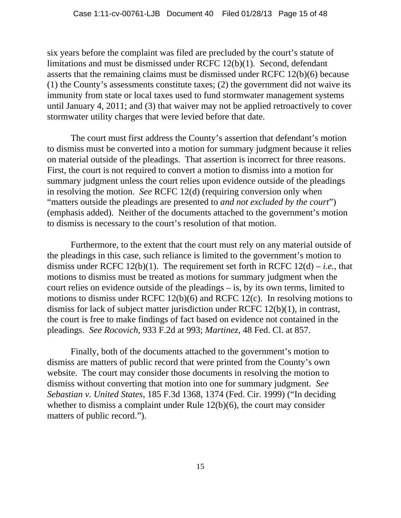six years before the complaint was filed are precluded by the court's statute of limitations and must be dismissed under RCFC 12(b)(1). Second, defendant asserts that the remaining claims must be dismissed under RCFC 12(b)(6) because (1) the County's assessments constitute taxes; (2) the government did not waive its immunity from state or local taxes used to fund stormwater management systems until January 4, 2011; and (3) that waiver may not be applied retroactively to cover stormwater utility charges that were levied before that date.

The court must first address the County's assertion that defendant's motion to dismiss must be converted into a motion for summary judgment because it relies on material outside of the pleadings. That assertion is incorrect for three reasons. First, the court is not required to convert a motion to dismiss into a motion for summary judgment unless the court relies upon evidence outside of the pleadings in resolving the motion. *See* RCFC 12(d) (requiring conversion only when "matters outside the pleadings are presented to *and not excluded by the court*") (emphasis added). Neither of the documents attached to the government's motion to dismiss is necessary to the court's resolution of that motion.

Furthermore, to the extent that the court must rely on any material outside of the pleadings in this case, such reliance is limited to the government's motion to dismiss under RCFC 12(b)(1). The requirement set forth in RCFC 12(d) – *i.e.*, that motions to dismiss must be treated as motions for summary judgment when the court relies on evidence outside of the pleadings – is, by its own terms, limited to motions to dismiss under RCFC 12(b)(6) and RCFC 12(c). In resolving motions to dismiss for lack of subject matter jurisdiction under RCFC 12(b)(1), in contrast, the court is free to make findings of fact based on evidence not contained in the pleadings. *See Rocovich*, 933 F.2d at 993; *Martinez*, 48 Fed. Cl. at 857.

Finally, both of the documents attached to the government's motion to dismiss are matters of public record that were printed from the County's own website. The court may consider those documents in resolving the motion to dismiss without converting that motion into one for summary judgment. *See Sebastian v. United States*, 185 F.3d 1368, 1374 (Fed. Cir. 1999) ("In deciding whether to dismiss a complaint under Rule 12(b)(6), the court may consider matters of public record.").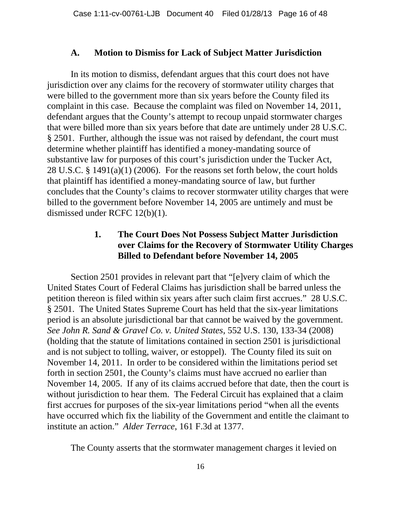#### **A. Motion to Dismiss for Lack of Subject Matter Jurisdiction**

In its motion to dismiss, defendant argues that this court does not have jurisdiction over any claims for the recovery of stormwater utility charges that were billed to the government more than six years before the County filed its complaint in this case. Because the complaint was filed on November 14, 2011, defendant argues that the County's attempt to recoup unpaid stormwater charges that were billed more than six years before that date are untimely under 28 U.S.C. § 2501. Further, although the issue was not raised by defendant, the court must determine whether plaintiff has identified a money-mandating source of substantive law for purposes of this court's jurisdiction under the Tucker Act, 28 U.S.C. § 1491(a)(1) (2006). For the reasons set forth below, the court holds that plaintiff has identified a money-mandating source of law, but further concludes that the County's claims to recover stormwater utility charges that were billed to the government before November 14, 2005 are untimely and must be dismissed under RCFC 12(b)(1).

# **1. The Court Does Not Possess Subject Matter Jurisdiction over Claims for the Recovery of Stormwater Utility Charges Billed to Defendant before November 14, 2005**

Section 2501 provides in relevant part that "[e]very claim of which the United States Court of Federal Claims has jurisdiction shall be barred unless the petition thereon is filed within six years after such claim first accrues." 28 U.S.C. § 2501. The United States Supreme Court has held that the six-year limitations period is an absolute jurisdictional bar that cannot be waived by the government. *See John R. Sand & Gravel Co. v. United States*, 552 U.S. 130, 133-34 (2008) (holding that the statute of limitations contained in section 2501 is jurisdictional and is not subject to tolling, waiver, or estoppel). The County filed its suit on November 14, 2011. In order to be considered within the limitations period set forth in section 2501, the County's claims must have accrued no earlier than November 14, 2005. If any of its claims accrued before that date, then the court is without jurisdiction to hear them. The Federal Circuit has explained that a claim first accrues for purposes of the six-year limitations period "when all the events have occurred which fix the liability of the Government and entitle the claimant to institute an action." *Alder Terrace*, 161 F.3d at 1377.

The County asserts that the stormwater management charges it levied on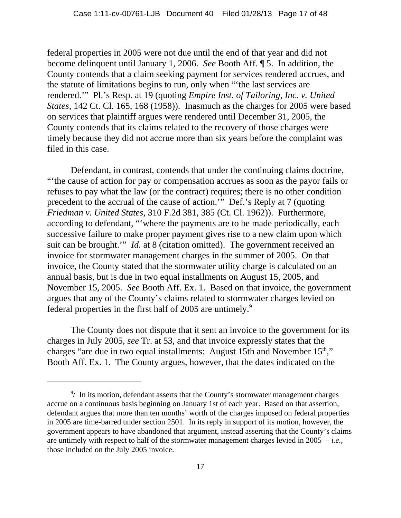federal properties in 2005 were not due until the end of that year and did not become delinquent until January 1, 2006. *See* Booth Aff. ¶ 5. In addition, the County contends that a claim seeking payment for services rendered accrues, and the statute of limitations begins to run, only when "'the last services are rendered.'" Pl.'s Resp. at 19 (quoting *Empire Inst. of Tailoring, Inc. v. United States*, 142 Ct. Cl. 165, 168 (1958)). Inasmuch as the charges for 2005 were based on services that plaintiff argues were rendered until December 31, 2005, the County contends that its claims related to the recovery of those charges were timely because they did not accrue more than six years before the complaint was filed in this case.

Defendant, in contrast, contends that under the continuing claims doctrine, "'the cause of action for pay or compensation accrues as soon as the payor fails or refuses to pay what the law (or the contract) requires; there is no other condition precedent to the accrual of the cause of action.'" Def.'s Reply at 7 (quoting *Friedman v. United States*, 310 F.2d 381, 385 (Ct. Cl. 1962)). Furthermore, according to defendant, "'where the payments are to be made periodically, each successive failure to make proper payment gives rise to a new claim upon which suit can be brought.'" *Id.* at 8 (citation omitted). The government received an invoice for stormwater management charges in the summer of 2005. On that invoice, the County stated that the stormwater utility charge is calculated on an annual basis, but is due in two equal installments on August 15, 2005, and November 15, 2005. *See* Booth Aff. Ex. 1. Based on that invoice, the government argues that any of the County's claims related to stormwater charges levied on federal properties in the first half of 2005 are untimely. $9$ 

The County does not dispute that it sent an invoice to the government for its charges in July 2005, *see* Tr. at 53, and that invoice expressly states that the charges "are due in two equal installments: August 15th and November 15<sup>th</sup>," Booth Aff. Ex. 1. The County argues, however, that the dates indicated on the

 $9/$  In its motion, defendant asserts that the County's stormwater management charges accrue on a continuous basis beginning on January 1st of each year. Based on that assertion, defendant argues that more than ten months' worth of the charges imposed on federal properties in 2005 are time-barred under section 2501. In its reply in support of its motion, however, the government appears to have abandoned that argument, instead asserting that the County's claims are untimely with respect to half of the stormwater management charges levied in 2005 – *i.e.*, those included on the July 2005 invoice.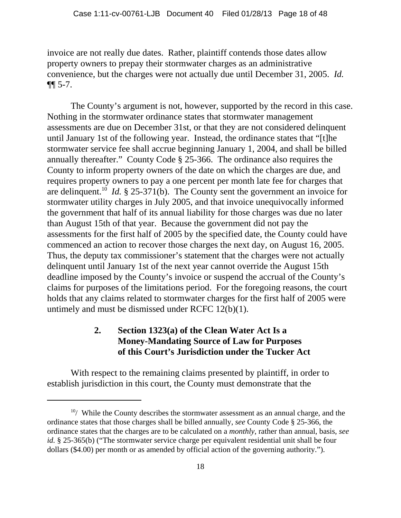invoice are not really due dates. Rather, plaintiff contends those dates allow property owners to prepay their stormwater charges as an administrative convenience, but the charges were not actually due until December 31, 2005. *Id.* ¶¶ 5-7.

The County's argument is not, however, supported by the record in this case. Nothing in the stormwater ordinance states that stormwater management assessments are due on December 31st, or that they are not considered delinquent until January 1st of the following year. Instead, the ordinance states that "[t]he stormwater service fee shall accrue beginning January 1, 2004, and shall be billed annually thereafter." County Code § 25-366. The ordinance also requires the County to inform property owners of the date on which the charges are due, and requires property owners to pay a one percent per month late fee for charges that are delinquent.<sup>10</sup> *Id.* § 25-371(b). The County sent the government an invoice for stormwater utility charges in July 2005, and that invoice unequivocally informed the government that half of its annual liability for those charges was due no later than August 15th of that year. Because the government did not pay the assessments for the first half of 2005 by the specified date, the County could have commenced an action to recover those charges the next day, on August 16, 2005. Thus, the deputy tax commissioner's statement that the charges were not actually delinquent until January 1st of the next year cannot override the August 15th deadline imposed by the County's invoice or suspend the accrual of the County's claims for purposes of the limitations period. For the foregoing reasons, the court holds that any claims related to stormwater charges for the first half of 2005 were untimely and must be dismissed under RCFC 12(b)(1).

# **2. Section 1323(a) of the Clean Water Act Is a Money-Mandating Source of Law for Purposes of this Court's Jurisdiction under the Tucker Act**

With respect to the remaining claims presented by plaintiff, in order to establish jurisdiction in this court, the County must demonstrate that the

 $10/$  While the County describes the stormwater assessment as an annual charge, and the ordinance states that those charges shall be billed annually, *see* County Code § 25-366, the ordinance states that the charges are to be calculated on a *monthly*, rather than annual, basis, *see id.* § 25-365(b) ("The stormwater service charge per equivalent residential unit shall be four dollars (\$4.00) per month or as amended by official action of the governing authority.").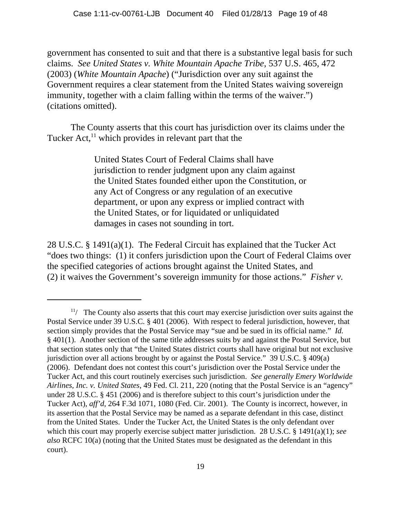government has consented to suit and that there is a substantive legal basis for such claims. *See United States v. White Mountain Apache Tribe*, 537 U.S. 465, 472 (2003) (*White Mountain Apache*) ("Jurisdiction over any suit against the Government requires a clear statement from the United States waiving sovereign immunity, together with a claim falling within the terms of the waiver.") (citations omitted).

The County asserts that this court has jurisdiction over its claims under the Tucker  $Act<sub>11</sub><sup>11</sup>$  which provides in relevant part that the

> United States Court of Federal Claims shall have jurisdiction to render judgment upon any claim against the United States founded either upon the Constitution, or any Act of Congress or any regulation of an executive department, or upon any express or implied contract with the United States, or for liquidated or unliquidated damages in cases not sounding in tort.

28 U.S.C. § 1491(a)(1). The Federal Circuit has explained that the Tucker Act "does two things: (1) it confers jurisdiction upon the Court of Federal Claims over the specified categories of actions brought against the United States, and (2) it waives the Government's sovereign immunity for those actions." *Fisher v.*

 $11/$  The County also asserts that this court may exercise jurisdiction over suits against the Postal Service under 39 U.S.C. § 401 (2006). With respect to federal jurisdiction, however, that section simply provides that the Postal Service may "sue and be sued in its official name." *Id.* § 401(1). Another section of the same title addresses suits by and against the Postal Service, but that section states only that "the United States district courts shall have original but not exclusive jurisdiction over all actions brought by or against the Postal Service." 39 U.S.C. § 409(a) (2006). Defendant does not contest this court's jurisdiction over the Postal Service under the Tucker Act, and this court routinely exercises such jurisdiction. *See generally Emery Worldwide Airlines, Inc. v. United States*, 49 Fed. Cl. 211, 220 (noting that the Postal Service is an "agency" under 28 U.S.C. § 451 (2006) and is therefore subject to this court's jurisdiction under the Tucker Act), *aff'd*, 264 F.3d 1071, 1080 (Fed. Cir. 2001). The County is incorrect, however, in its assertion that the Postal Service may be named as a separate defendant in this case, distinct from the United States. Under the Tucker Act, the United States is the only defendant over which this court may properly exercise subject matter jurisdiction. 28 U.S.C. § 1491(a)(1); *see also* RCFC 10(a) (noting that the United States must be designated as the defendant in this court).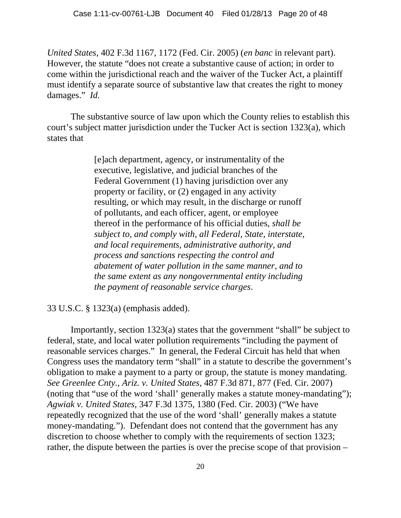*United States*, 402 F.3d 1167, 1172 (Fed. Cir. 2005) (*en banc* in relevant part). However, the statute "does not create a substantive cause of action; in order to come within the jurisdictional reach and the waiver of the Tucker Act, a plaintiff must identify a separate source of substantive law that creates the right to money damages." *Id.*

The substantive source of law upon which the County relies to establish this court's subject matter jurisdiction under the Tucker Act is section 1323(a), which states that

> [e]ach department, agency, or instrumentality of the executive, legislative, and judicial branches of the Federal Government (1) having jurisdiction over any property or facility, or (2) engaged in any activity resulting, or which may result, in the discharge or runoff of pollutants, and each officer, agent, or employee thereof in the performance of his official duties, *shall be subject to, and comply with, all Federal, State, interstate, and local requirements, administrative authority, and process and sanctions respecting the control and abatement of water pollution in the same manner, and to the same extent as any nongovernmental entity including the payment of reasonable service charges*.

### 33 U.S.C. § 1323(a) (emphasis added).

Importantly, section 1323(a) states that the government "shall" be subject to federal, state, and local water pollution requirements "including the payment of reasonable services charges." In general, the Federal Circuit has held that when Congress uses the mandatory term "shall" in a statute to describe the government's obligation to make a payment to a party or group, the statute is money mandating. *See Greenlee Cnty., Ariz. v. United States*, 487 F.3d 871, 877 (Fed. Cir. 2007) (noting that "use of the word 'shall' generally makes a statute money-mandating"); *Agwiak v. United States*, 347 F.3d 1375, 1380 (Fed. Cir. 2003) ("We have repeatedly recognized that the use of the word 'shall' generally makes a statute money-mandating."). Defendant does not contend that the government has any discretion to choose whether to comply with the requirements of section 1323; rather, the dispute between the parties is over the precise scope of that provision –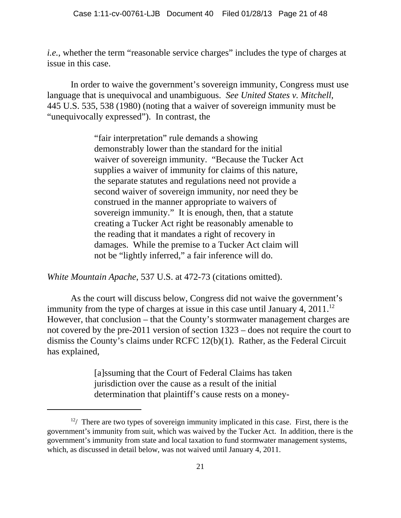*i.e.*, whether the term "reasonable service charges" includes the type of charges at issue in this case.

In order to waive the government's sovereign immunity, Congress must use language that is unequivocal and unambiguous. *See United States v. Mitchell*, 445 U.S. 535, 538 (1980) (noting that a waiver of sovereign immunity must be "unequivocally expressed"). In contrast, the

> "fair interpretation" rule demands a showing demonstrably lower than the standard for the initial waiver of sovereign immunity. "Because the Tucker Act supplies a waiver of immunity for claims of this nature, the separate statutes and regulations need not provide a second waiver of sovereign immunity, nor need they be construed in the manner appropriate to waivers of sovereign immunity." It is enough, then, that a statute creating a Tucker Act right be reasonably amenable to the reading that it mandates a right of recovery in damages. While the premise to a Tucker Act claim will not be "lightly inferred," a fair inference will do.

*White Mountain Apache*, 537 U.S. at 472-73 (citations omitted).

As the court will discuss below, Congress did not waive the government's immunity from the type of charges at issue in this case until January 4,  $2011$ .<sup>12</sup> However, that conclusion – that the County's stormwater management charges are not covered by the pre-2011 version of section 1323 – does not require the court to dismiss the County's claims under RCFC 12(b)(1). Rather, as the Federal Circuit has explained,

> [a]ssuming that the Court of Federal Claims has taken jurisdiction over the cause as a result of the initial determination that plaintiff's cause rests on a money-

 $12/$  There are two types of sovereign immunity implicated in this case. First, there is the government's immunity from suit, which was waived by the Tucker Act. In addition, there is the government's immunity from state and local taxation to fund stormwater management systems, which, as discussed in detail below, was not waived until January 4, 2011.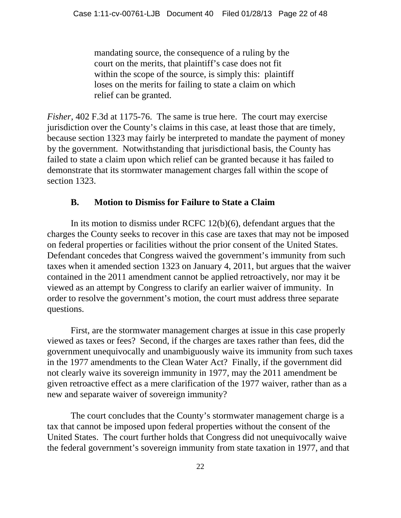mandating source, the consequence of a ruling by the court on the merits, that plaintiff's case does not fit within the scope of the source, is simply this: plaintiff loses on the merits for failing to state a claim on which relief can be granted.

*Fisher*, 402 F.3d at 1175-76. The same is true here. The court may exercise jurisdiction over the County's claims in this case, at least those that are timely, because section 1323 may fairly be interpreted to mandate the payment of money by the government. Notwithstanding that jurisdictional basis, the County has failed to state a claim upon which relief can be granted because it has failed to demonstrate that its stormwater management charges fall within the scope of section 1323.

# **B. Motion to Dismiss for Failure to State a Claim**

In its motion to dismiss under RCFC 12(b)(6), defendant argues that the charges the County seeks to recover in this case are taxes that may not be imposed on federal properties or facilities without the prior consent of the United States. Defendant concedes that Congress waived the government's immunity from such taxes when it amended section 1323 on January 4, 2011, but argues that the waiver contained in the 2011 amendment cannot be applied retroactively, nor may it be viewed as an attempt by Congress to clarify an earlier waiver of immunity. In order to resolve the government's motion, the court must address three separate questions.

First, are the stormwater management charges at issue in this case properly viewed as taxes or fees? Second, if the charges are taxes rather than fees, did the government unequivocally and unambiguously waive its immunity from such taxes in the 1977 amendments to the Clean Water Act? Finally, if the government did not clearly waive its sovereign immunity in 1977, may the 2011 amendment be given retroactive effect as a mere clarification of the 1977 waiver, rather than as a new and separate waiver of sovereign immunity?

The court concludes that the County's stormwater management charge is a tax that cannot be imposed upon federal properties without the consent of the United States. The court further holds that Congress did not unequivocally waive the federal government's sovereign immunity from state taxation in 1977, and that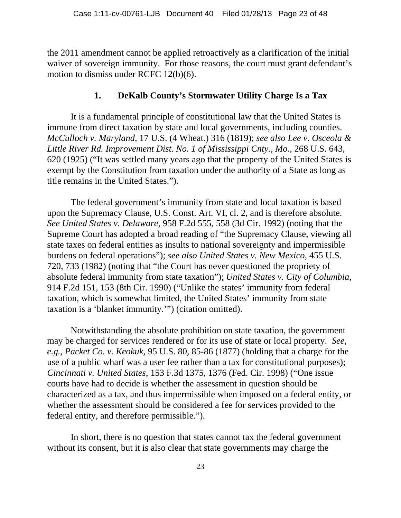the 2011 amendment cannot be applied retroactively as a clarification of the initial waiver of sovereign immunity. For those reasons, the court must grant defendant's motion to dismiss under RCFC 12(b)(6).

#### **1. DeKalb County's Stormwater Utility Charge Is a Tax**

It is a fundamental principle of constitutional law that the United States is immune from direct taxation by state and local governments, including counties. *McCulloch v. Maryland*, 17 U.S. (4 Wheat.) 316 (1819); *see also Lee v. Osceola & Little River Rd. Improvement Dist. No. 1 of Mississippi Cnty., Mo.*, 268 U.S. 643, 620 (1925) ("It was settled many years ago that the property of the United States is exempt by the Constitution from taxation under the authority of a State as long as title remains in the United States.").

The federal government's immunity from state and local taxation is based upon the Supremacy Clause, U.S. Const. Art. VI, cl. 2, and is therefore absolute. *See United States v. Delaware*, 958 F.2d 555, 558 (3d Cir. 1992) (noting that the Supreme Court has adopted a broad reading of "the Supremacy Clause, viewing all state taxes on federal entities as insults to national sovereignty and impermissible burdens on federal operations"); *see also United States v. New Mexico*, 455 U.S. 720, 733 (1982) (noting that "the Court has never questioned the propriety of absolute federal immunity from state taxation"); *United States v. City of Columbia*, 914 F.2d 151, 153 (8th Cir. 1990) ("Unlike the states' immunity from federal taxation, which is somewhat limited, the United States' immunity from state taxation is a 'blanket immunity.'") (citation omitted).

Notwithstanding the absolute prohibition on state taxation, the government may be charged for services rendered or for its use of state or local property. *See, e.g.*, *Packet Co. v. Keokuk*, 95 U.S. 80, 85-86 (1877) (holding that a charge for the use of a public wharf was a user fee rather than a tax for constitutional purposes); *Cincinnati v. United States*, 153 F.3d 1375, 1376 (Fed. Cir. 1998) ("One issue courts have had to decide is whether the assessment in question should be characterized as a tax, and thus impermissible when imposed on a federal entity, or whether the assessment should be considered a fee for services provided to the federal entity, and therefore permissible.").

In short, there is no question that states cannot tax the federal government without its consent, but it is also clear that state governments may charge the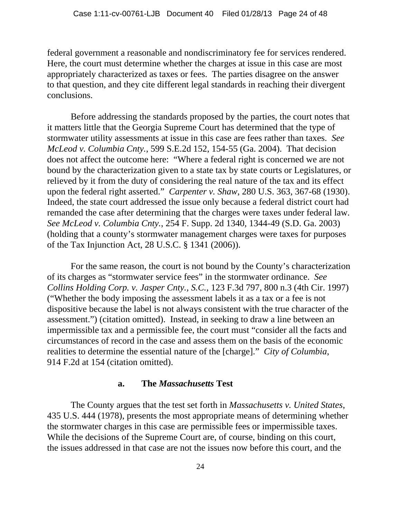federal government a reasonable and nondiscriminatory fee for services rendered. Here, the court must determine whether the charges at issue in this case are most appropriately characterized as taxes or fees. The parties disagree on the answer to that question, and they cite different legal standards in reaching their divergent conclusions.

Before addressing the standards proposed by the parties, the court notes that it matters little that the Georgia Supreme Court has determined that the type of stormwater utility assessments at issue in this case are fees rather than taxes. *See McLeod v. Columbia Cnty.*, 599 S.E.2d 152, 154-55 (Ga. 2004). That decision does not affect the outcome here: "Where a federal right is concerned we are not bound by the characterization given to a state tax by state courts or Legislatures, or relieved by it from the duty of considering the real nature of the tax and its effect upon the federal right asserted." *Carpenter v. Shaw*, 280 U.S. 363, 367-68 (1930). Indeed, the state court addressed the issue only because a federal district court had remanded the case after determining that the charges were taxes under federal law. *See McLeod v. Columbia Cnty.*, 254 F. Supp. 2d 1340, 1344-49 (S.D. Ga. 2003) (holding that a county's stormwater management charges were taxes for purposes of the Tax Injunction Act, 28 U.S.C. § 1341 (2006)).

For the same reason, the court is not bound by the County's characterization of its charges as "stormwater service fees" in the stormwater ordinance. *See Collins Holding Corp. v. Jasper Cnty., S.C.*, 123 F.3d 797, 800 n.3 (4th Cir. 1997) ("Whether the body imposing the assessment labels it as a tax or a fee is not dispositive because the label is not always consistent with the true character of the assessment.") (citation omitted). Instead, in seeking to draw a line between an impermissible tax and a permissible fee, the court must "consider all the facts and circumstances of record in the case and assess them on the basis of the economic realities to determine the essential nature of the [charge]." *City of Columbia*, 914 F.2d at 154 (citation omitted).

#### **a. The** *Massachusetts* **Test**

The County argues that the test set forth in *Massachusetts v. United States*, 435 U.S. 444 (1978), presents the most appropriate means of determining whether the stormwater charges in this case are permissible fees or impermissible taxes. While the decisions of the Supreme Court are, of course, binding on this court, the issues addressed in that case are not the issues now before this court, and the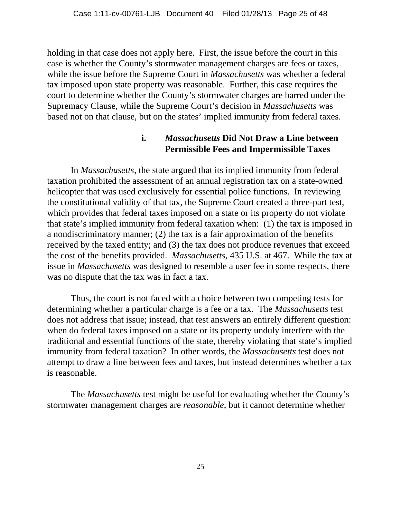holding in that case does not apply here. First, the issue before the court in this case is whether the County's stormwater management charges are fees or taxes, while the issue before the Supreme Court in *Massachusetts* was whether a federal tax imposed upon state property was reasonable. Further, this case requires the court to determine whether the County's stormwater charges are barred under the Supremacy Clause, while the Supreme Court's decision in *Massachusetts* was based not on that clause, but on the states' implied immunity from federal taxes.

# **i.** *Massachusetts* **Did Not Draw a Line between Permissible Fees and Impermissible Taxes**

In *Massachusetts*, the state argued that its implied immunity from federal taxation prohibited the assessment of an annual registration tax on a state-owned helicopter that was used exclusively for essential police functions. In reviewing the constitutional validity of that tax, the Supreme Court created a three-part test, which provides that federal taxes imposed on a state or its property do not violate that state's implied immunity from federal taxation when: (1) the tax is imposed in a nondiscriminatory manner; (2) the tax is a fair approximation of the benefits received by the taxed entity; and (3) the tax does not produce revenues that exceed the cost of the benefits provided. *Massachusetts*, 435 U.S. at 467. While the tax at issue in *Massachusetts* was designed to resemble a user fee in some respects, there was no dispute that the tax was in fact a tax.

Thus, the court is not faced with a choice between two competing tests for determining whether a particular charge is a fee or a tax. The *Massachusetts* test does not address that issue; instead, that test answers an entirely different question: when do federal taxes imposed on a state or its property unduly interfere with the traditional and essential functions of the state, thereby violating that state's implied immunity from federal taxation? In other words, the *Massachusetts* test does not attempt to draw a line between fees and taxes, but instead determines whether a tax is reasonable.

The *Massachusetts* test might be useful for evaluating whether the County's stormwater management charges are *reasonable*, but it cannot determine whether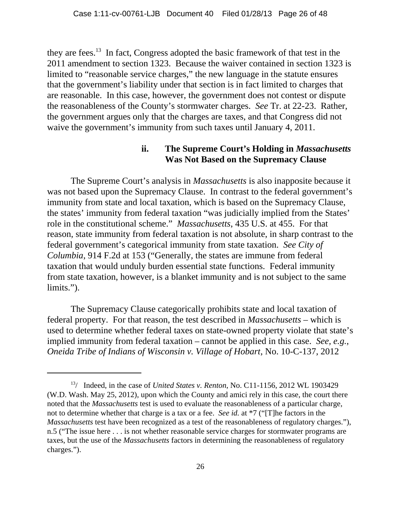they are fees.13 In fact, Congress adopted the basic framework of that test in the 2011 amendment to section 1323. Because the waiver contained in section 1323 is limited to "reasonable service charges," the new language in the statute ensures that the government's liability under that section is in fact limited to charges that are reasonable. In this case, however, the government does not contest or dispute the reasonableness of the County's stormwater charges. *See* Tr. at 22-23. Rather, the government argues only that the charges are taxes, and that Congress did not waive the government's immunity from such taxes until January 4, 2011.

#### **ii. The Supreme Court's Holding in** *Massachusetts* **Was Not Based on the Supremacy Clause**

The Supreme Court's analysis in *Massachusetts* is also inapposite because it was not based upon the Supremacy Clause. In contrast to the federal government's immunity from state and local taxation, which is based on the Supremacy Clause, the states' immunity from federal taxation "was judicially implied from the States' role in the constitutional scheme." *Massachusetts*, 435 U.S. at 455. For that reason, state immunity from federal taxation is not absolute, in sharp contrast to the federal government's categorical immunity from state taxation. *See City of Columbia*, 914 F.2d at 153 ("Generally, the states are immune from federal taxation that would unduly burden essential state functions. Federal immunity from state taxation, however, is a blanket immunity and is not subject to the same limits.").

The Supremacy Clause categorically prohibits state and local taxation of federal property. For that reason, the test described in *Massachusetts* – which is used to determine whether federal taxes on state-owned property violate that state's implied immunity from federal taxation – cannot be applied in this case. *See, e.g.*, *Oneida Tribe of Indians of Wisconsin v. Village of Hobart*, No. 10-C-137, 2012

<sup>13/</sup> Indeed, in the case of *United States v. Renton*, No. C11-1156, 2012 WL 1903429 (W.D. Wash. May 25, 2012), upon which the County and amici rely in this case, the court there noted that the *Massachusetts* test is used to evaluate the reasonableness of a particular charge, not to determine whether that charge is a tax or a fee. *See id.* at \*7 ("[T]he factors in the *Massachusetts* test have been recognized as a test of the reasonableness of regulatory charges."), n.5 ("The issue here . . . is not whether reasonable service charges for stormwater programs are taxes, but the use of the *Massachusetts* factors in determining the reasonableness of regulatory charges.").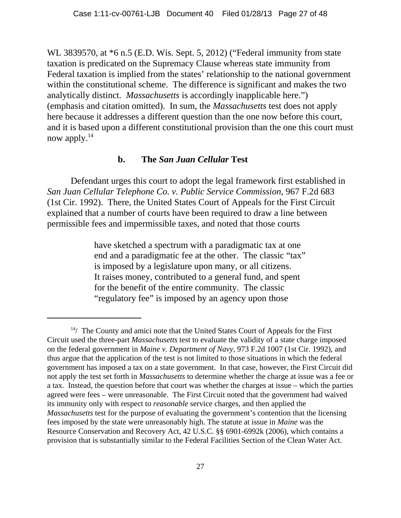WL 3839570, at \*6 n.5 (E.D. Wis. Sept. 5, 2012) ("Federal immunity from state taxation is predicated on the Supremacy Clause whereas state immunity from Federal taxation is implied from the states' relationship to the national government within the constitutional scheme. The difference is significant and makes the two analytically distinct. *Massachusetts* is accordingly inapplicable here.") (emphasis and citation omitted). In sum, the *Massachusetts* test does not apply here because it addresses a different question than the one now before this court, and it is based upon a different constitutional provision than the one this court must now apply.<sup>14</sup>

#### **b. The** *San Juan Cellular* **Test**

Defendant urges this court to adopt the legal framework first established in *San Juan Cellular Telephone Co. v. Public Service Commission*, 967 F.2d 683 (1st Cir. 1992). There, the United States Court of Appeals for the First Circuit explained that a number of courts have been required to draw a line between permissible fees and impermissible taxes, and noted that those courts

> have sketched a spectrum with a paradigmatic tax at one end and a paradigmatic fee at the other. The classic "tax" is imposed by a legislature upon many, or all citizens. It raises money, contributed to a general fund, and spent for the benefit of the entire community. The classic "regulatory fee" is imposed by an agency upon those

 $14/$  The County and amici note that the United States Court of Appeals for the First Circuit used the three-part *Massachusetts* test to evaluate the validity of a state charge imposed on the federal government in *Maine v. Department of Navy*, 973 F.2d 1007 (1st Cir. 1992), and thus argue that the application of the test is not limited to those situations in which the federal government has imposed a tax on a state government. In that case, however, the First Circuit did not apply the test set forth in *Massachusetts* to determine whether the charge at issue was a fee or a tax. Instead, the question before that court was whether the charges at issue – which the parties agreed were fees – were unreasonable. The First Circuit noted that the government had waived its immunity only with respect to *reasonable* service charges, and then applied the *Massachusetts* test for the purpose of evaluating the government's contention that the licensing fees imposed by the state were unreasonably high. The statute at issue in *Maine* was the Resource Conservation and Recovery Act, 42 U.S.C. §§ 6901-6992k (2006), which contains a provision that is substantially similar to the Federal Facilities Section of the Clean Water Act.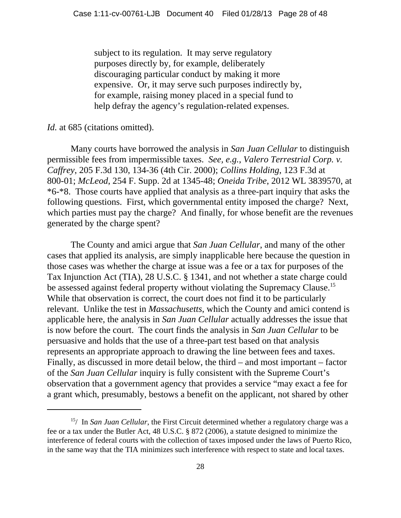subject to its regulation. It may serve regulatory purposes directly by, for example, deliberately discouraging particular conduct by making it more expensive. Or, it may serve such purposes indirectly by, for example, raising money placed in a special fund to help defray the agency's regulation-related expenses.

#### *Id.* at 685 (citations omitted).

Many courts have borrowed the analysis in *San Juan Cellular* to distinguish permissible fees from impermissible taxes. *See, e.g.*, *Valero Terrestrial Corp. v. Caffrey*, 205 F.3d 130, 134-36 (4th Cir. 2000); *Collins Holding*, 123 F.3d at 800-01; *McLeod*, 254 F. Supp. 2d at 1345-48; *Oneida Tribe*, 2012 WL 3839570, at \*6-\*8. Those courts have applied that analysis as a three-part inquiry that asks the following questions. First, which governmental entity imposed the charge? Next, which parties must pay the charge? And finally, for whose benefit are the revenues generated by the charge spent?

The County and amici argue that *San Juan Cellular*, and many of the other cases that applied its analysis, are simply inapplicable here because the question in those cases was whether the charge at issue was a fee or a tax for purposes of the Tax Injunction Act (TIA), 28 U.S.C. § 1341, and not whether a state charge could be assessed against federal property without violating the Supremacy Clause.<sup>15</sup> While that observation is correct, the court does not find it to be particularly relevant. Unlike the test in *Massachusetts*, which the County and amici contend is applicable here, the analysis in *San Juan Cellular* actually addresses the issue that is now before the court. The court finds the analysis in *San Juan Cellular* to be persuasive and holds that the use of a three-part test based on that analysis represents an appropriate approach to drawing the line between fees and taxes. Finally, as discussed in more detail below, the third – and most important – factor of the *San Juan Cellular* inquiry is fully consistent with the Supreme Court's observation that a government agency that provides a service "may exact a fee for a grant which, presumably, bestows a benefit on the applicant, not shared by other

<sup>15/</sup> In *San Juan Cellular*, the First Circuit determined whether a regulatory charge was a fee or a tax under the Butler Act, 48 U.S.C. § 872 (2006), a statute designed to minimize the interference of federal courts with the collection of taxes imposed under the laws of Puerto Rico, in the same way that the TIA minimizes such interference with respect to state and local taxes.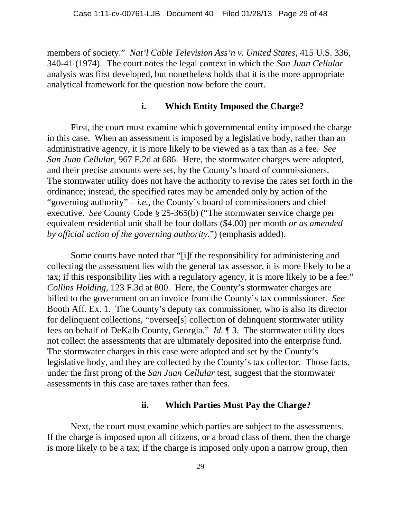members of society." *Nat'l Cable Television Ass'n v. United States*, 415 U.S. 336, 340-41 (1974). The court notes the legal context in which the *San Juan Cellular* analysis was first developed, but nonetheless holds that it is the more appropriate analytical framework for the question now before the court.

#### **i. Which Entity Imposed the Charge?**

First, the court must examine which governmental entity imposed the charge in this case. When an assessment is imposed by a legislative body, rather than an administrative agency, it is more likely to be viewed as a tax than as a fee. *See San Juan Cellular*, 967 F.2d at 686. Here, the stormwater charges were adopted, and their precise amounts were set, by the County's board of commissioners. The stormwater utility does not have the authority to revise the rates set forth in the ordinance; instead, the specified rates may be amended only by action of the "governing authority"  $-i.e.,$  the County's board of commissioners and chief executive. *See* County Code § 25-365(b) ("The stormwater service charge per equivalent residential unit shall be four dollars (\$4.00) per month *or as amended by official action of the governing authority*.") (emphasis added).

Some courts have noted that "[i]f the responsibility for administering and collecting the assessment lies with the general tax assessor, it is more likely to be a tax; if this responsibility lies with a regulatory agency, it is more likely to be a fee." *Collins Holding*, 123 F.3d at 800. Here, the County's stormwater charges are billed to the government on an invoice from the County's tax commissioner. *See* Booth Aff. Ex. 1. The County's deputy tax commissioner, who is also its director for delinquent collections, "oversee[s] collection of delinquent stormwater utility fees on behalf of DeKalb County, Georgia." *Id.* ¶ 3. The stormwater utility does not collect the assessments that are ultimately deposited into the enterprise fund. The stormwater charges in this case were adopted and set by the County's legislative body, and they are collected by the County's tax collector. Those facts, under the first prong of the *San Juan Cellular* test, suggest that the stormwater assessments in this case are taxes rather than fees.

#### **ii. Which Parties Must Pay the Charge?**

Next, the court must examine which parties are subject to the assessments. If the charge is imposed upon all citizens, or a broad class of them, then the charge is more likely to be a tax; if the charge is imposed only upon a narrow group, then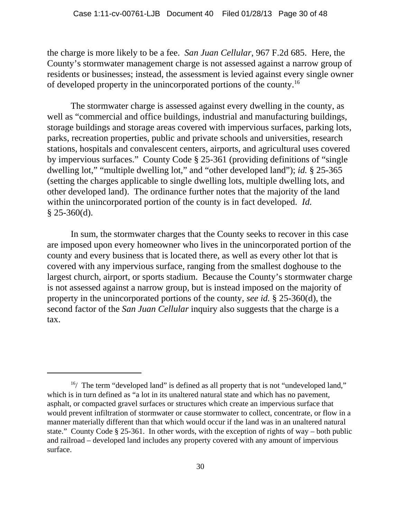the charge is more likely to be a fee. *San Juan Cellular*, 967 F.2d 685. Here, the County's stormwater management charge is not assessed against a narrow group of residents or businesses; instead, the assessment is levied against every single owner of developed property in the unincorporated portions of the county.16

The stormwater charge is assessed against every dwelling in the county, as well as "commercial and office buildings, industrial and manufacturing buildings, storage buildings and storage areas covered with impervious surfaces, parking lots, parks, recreation properties, public and private schools and universities, research stations, hospitals and convalescent centers, airports, and agricultural uses covered by impervious surfaces." County Code § 25-361 (providing definitions of "single dwelling lot," "multiple dwelling lot," and "other developed land"); *id.* § 25-365 (setting the charges applicable to single dwelling lots, multiple dwelling lots, and other developed land). The ordinance further notes that the majority of the land within the unincorporated portion of the county is in fact developed. *Id.*  $§$  25-360(d).

In sum, the stormwater charges that the County seeks to recover in this case are imposed upon every homeowner who lives in the unincorporated portion of the county and every business that is located there, as well as every other lot that is covered with any impervious surface, ranging from the smallest doghouse to the largest church, airport, or sports stadium. Because the County's stormwater charge is not assessed against a narrow group, but is instead imposed on the majority of property in the unincorporated portions of the county, *see id.* § 25-360(d), the second factor of the *San Juan Cellular* inquiry also suggests that the charge is a tax.

 $16/$  The term "developed land" is defined as all property that is not "undeveloped land," which is in turn defined as "a lot in its unaltered natural state and which has no pavement, asphalt, or compacted gravel surfaces or structures which create an impervious surface that would prevent infiltration of stormwater or cause stormwater to collect, concentrate, or flow in a manner materially different than that which would occur if the land was in an unaltered natural state." County Code § 25-361. In other words, with the exception of rights of way – both public and railroad – developed land includes any property covered with any amount of impervious surface.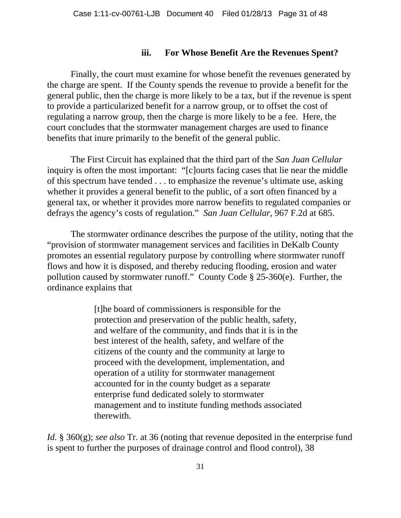#### **iii. For Whose Benefit Are the Revenues Spent?**

Finally, the court must examine for whose benefit the revenues generated by the charge are spent. If the County spends the revenue to provide a benefit for the general public, then the charge is more likely to be a tax, but if the revenue is spent to provide a particularized benefit for a narrow group, or to offset the cost of regulating a narrow group, then the charge is more likely to be a fee. Here, the court concludes that the stormwater management charges are used to finance benefits that inure primarily to the benefit of the general public.

 The First Circuit has explained that the third part of the *San Juan Cellular* inquiry is often the most important: "[c]ourts facing cases that lie near the middle of this spectrum have tended . . . to emphasize the revenue's ultimate use, asking whether it provides a general benefit to the public, of a sort often financed by a general tax, or whether it provides more narrow benefits to regulated companies or defrays the agency's costs of regulation." *San Juan Cellular*, 967 F.2d at 685.

The stormwater ordinance describes the purpose of the utility, noting that the "provision of stormwater management services and facilities in DeKalb County promotes an essential regulatory purpose by controlling where stormwater runoff flows and how it is disposed, and thereby reducing flooding, erosion and water pollution caused by stormwater runoff." County Code § 25-360(e). Further, the ordinance explains that

> [t]he board of commissioners is responsible for the protection and preservation of the public health, safety, and welfare of the community, and finds that it is in the best interest of the health, safety, and welfare of the citizens of the county and the community at large to proceed with the development, implementation, and operation of a utility for stormwater management accounted for in the county budget as a separate enterprise fund dedicated solely to stormwater management and to institute funding methods associated therewith.

*Id.* § 360(g); *see also* Tr. at 36 (noting that revenue deposited in the enterprise fund is spent to further the purposes of drainage control and flood control), 38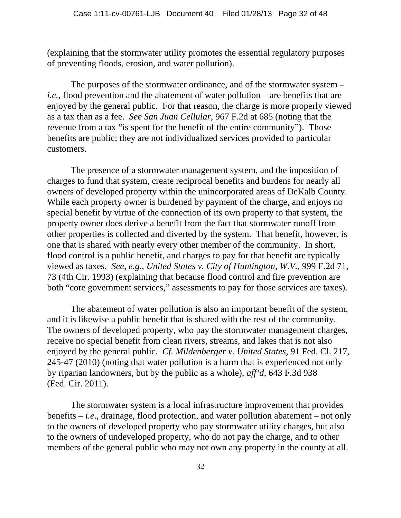(explaining that the stormwater utility promotes the essential regulatory purposes of preventing floods, erosion, and water pollution).

The purposes of the stormwater ordinance, and of the stormwater system – *i.e.*, flood prevention and the abatement of water pollution – are benefits that are enjoyed by the general public. For that reason, the charge is more properly viewed as a tax than as a fee. *See San Juan Cellular*, 967 F.2d at 685 (noting that the revenue from a tax "is spent for the benefit of the entire community"). Those benefits are public; they are not individualized services provided to particular customers.

The presence of a stormwater management system, and the imposition of charges to fund that system, create reciprocal benefits and burdens for nearly all owners of developed property within the unincorporated areas of DeKalb County. While each property owner is burdened by payment of the charge, and enjoys no special benefit by virtue of the connection of its own property to that system, the property owner does derive a benefit from the fact that stormwater runoff from other properties is collected and diverted by the system. That benefit, however, is one that is shared with nearly every other member of the community. In short, flood control is a public benefit, and charges to pay for that benefit are typically viewed as taxes. *See, e.g.*, *United States v. City of Huntington, W.V.*, 999 F.2d 71, 73 (4th Cir. 1993) (explaining that because flood control and fire prevention are both "core government services," assessments to pay for those services are taxes).

The abatement of water pollution is also an important benefit of the system, and it is likewise a public benefit that is shared with the rest of the community. The owners of developed property, who pay the stormwater management charges, receive no special benefit from clean rivers, streams, and lakes that is not also enjoyed by the general public. *Cf. Mildenberger v. United States*, 91 Fed. Cl. 217, 245-47 (2010) (noting that water pollution is a harm that is experienced not only by riparian landowners, but by the public as a whole), *aff'd*, 643 F.3d 938 (Fed. Cir. 2011).

The stormwater system is a local infrastructure improvement that provides benefits – *i.e*., drainage, flood protection, and water pollution abatement – not only to the owners of developed property who pay stormwater utility charges, but also to the owners of undeveloped property, who do not pay the charge, and to other members of the general public who may not own any property in the county at all.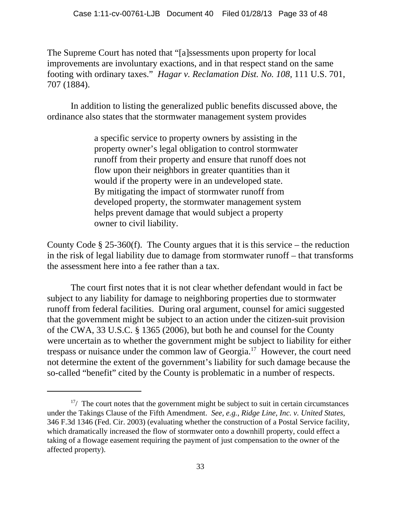The Supreme Court has noted that "[a]ssessments upon property for local improvements are involuntary exactions, and in that respect stand on the same footing with ordinary taxes." *Hagar v. Reclamation Dist. No. 108*, 111 U.S. 701, 707 (1884).

In addition to listing the generalized public benefits discussed above, the ordinance also states that the stormwater management system provides

> a specific service to property owners by assisting in the property owner's legal obligation to control stormwater runoff from their property and ensure that runoff does not flow upon their neighbors in greater quantities than it would if the property were in an undeveloped state. By mitigating the impact of stormwater runoff from developed property, the stormwater management system helps prevent damage that would subject a property owner to civil liability.

County Code  $\S 25-360(f)$ . The County argues that it is this service – the reduction in the risk of legal liability due to damage from stormwater runoff – that transforms the assessment here into a fee rather than a tax.

The court first notes that it is not clear whether defendant would in fact be subject to any liability for damage to neighboring properties due to stormwater runoff from federal facilities. During oral argument, counsel for amici suggested that the government might be subject to an action under the citizen-suit provision of the CWA, 33 U.S.C. § 1365 (2006), but both he and counsel for the County were uncertain as to whether the government might be subject to liability for either trespass or nuisance under the common law of Georgia.17 However, the court need not determine the extent of the government's liability for such damage because the so-called "benefit" cited by the County is problematic in a number of respects.

 $17/$  The court notes that the government might be subject to suit in certain circumstances under the Takings Clause of the Fifth Amendment. *See, e.g.*, *Ridge Line, Inc. v. United States*, 346 F.3d 1346 (Fed. Cir. 2003) (evaluating whether the construction of a Postal Service facility, which dramatically increased the flow of stormwater onto a downhill property, could effect a taking of a flowage easement requiring the payment of just compensation to the owner of the affected property).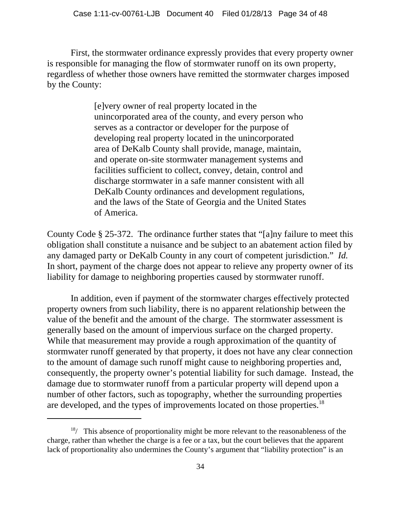First, the stormwater ordinance expressly provides that every property owner is responsible for managing the flow of stormwater runoff on its own property, regardless of whether those owners have remitted the stormwater charges imposed by the County:

> [e]very owner of real property located in the unincorporated area of the county, and every person who serves as a contractor or developer for the purpose of developing real property located in the unincorporated area of DeKalb County shall provide, manage, maintain, and operate on-site stormwater management systems and facilities sufficient to collect, convey, detain, control and discharge stormwater in a safe manner consistent with all DeKalb County ordinances and development regulations, and the laws of the State of Georgia and the United States of America.

County Code § 25-372. The ordinance further states that "[a]ny failure to meet this obligation shall constitute a nuisance and be subject to an abatement action filed by any damaged party or DeKalb County in any court of competent jurisdiction." *Id.* In short, payment of the charge does not appear to relieve any property owner of its liability for damage to neighboring properties caused by stormwater runoff.

In addition, even if payment of the stormwater charges effectively protected property owners from such liability, there is no apparent relationship between the value of the benefit and the amount of the charge. The stormwater assessment is generally based on the amount of impervious surface on the charged property. While that measurement may provide a rough approximation of the quantity of stormwater runoff generated by that property, it does not have any clear connection to the amount of damage such runoff might cause to neighboring properties and, consequently, the property owner's potential liability for such damage. Instead, the damage due to stormwater runoff from a particular property will depend upon a number of other factors, such as topography, whether the surrounding properties are developed, and the types of improvements located on those properties.<sup>18</sup>

 $18/$  This absence of proportionality might be more relevant to the reasonableness of the charge, rather than whether the charge is a fee or a tax, but the court believes that the apparent lack of proportionality also undermines the County's argument that "liability protection" is an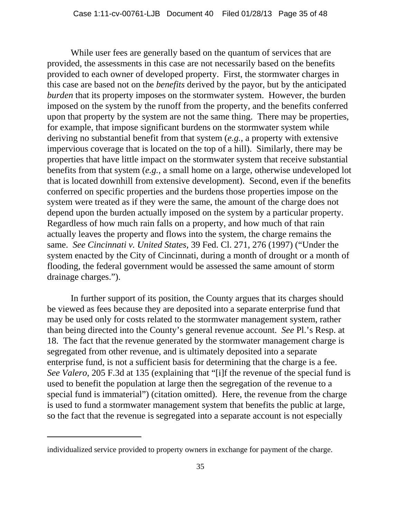While user fees are generally based on the quantum of services that are provided, the assessments in this case are not necessarily based on the benefits provided to each owner of developed property. First, the stormwater charges in this case are based not on the *benefits* derived by the payor, but by the anticipated *burden* that its property imposes on the stormwater system. However, the burden imposed on the system by the runoff from the property, and the benefits conferred upon that property by the system are not the same thing. There may be properties, for example, that impose significant burdens on the stormwater system while deriving no substantial benefit from that system (*e.g.*, a property with extensive impervious coverage that is located on the top of a hill). Similarly, there may be properties that have little impact on the stormwater system that receive substantial benefits from that system (*e.g.*, a small home on a large, otherwise undeveloped lot that is located downhill from extensive development). Second, even if the benefits conferred on specific properties and the burdens those properties impose on the system were treated as if they were the same, the amount of the charge does not depend upon the burden actually imposed on the system by a particular property. Regardless of how much rain falls on a property, and how much of that rain actually leaves the property and flows into the system, the charge remains the same. *See Cincinnati v. United States*, 39 Fed. Cl. 271, 276 (1997) ("Under the system enacted by the City of Cincinnati, during a month of drought or a month of flooding, the federal government would be assessed the same amount of storm drainage charges.").

In further support of its position, the County argues that its charges should be viewed as fees because they are deposited into a separate enterprise fund that may be used only for costs related to the stormwater management system, rather than being directed into the County's general revenue account. *See* Pl.'s Resp. at 18. The fact that the revenue generated by the stormwater management charge is segregated from other revenue, and is ultimately deposited into a separate enterprise fund, is not a sufficient basis for determining that the charge is a fee. *See Valero*, 205 F.3d at 135 (explaining that "[i]f the revenue of the special fund is used to benefit the population at large then the segregation of the revenue to a special fund is immaterial") (citation omitted). Here, the revenue from the charge is used to fund a stormwater management system that benefits the public at large, so the fact that the revenue is segregated into a separate account is not especially

individualized service provided to property owners in exchange for payment of the charge.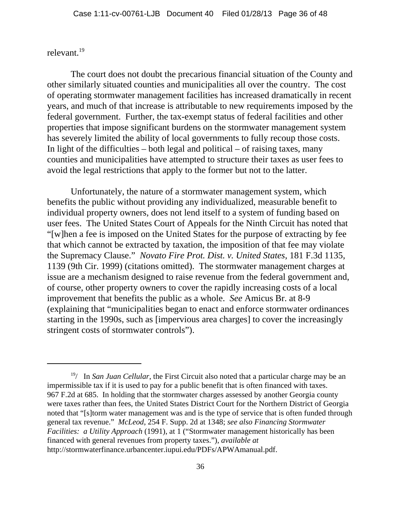# relevant.19

The court does not doubt the precarious financial situation of the County and other similarly situated counties and municipalities all over the country. The cost of operating stormwater management facilities has increased dramatically in recent years, and much of that increase is attributable to new requirements imposed by the federal government. Further, the tax-exempt status of federal facilities and other properties that impose significant burdens on the stormwater management system has severely limited the ability of local governments to fully recoup those costs. In light of the difficulties – both legal and political – of raising taxes, many counties and municipalities have attempted to structure their taxes as user fees to avoid the legal restrictions that apply to the former but not to the latter.

Unfortunately, the nature of a stormwater management system, which benefits the public without providing any individualized, measurable benefit to individual property owners, does not lend itself to a system of funding based on user fees. The United States Court of Appeals for the Ninth Circuit has noted that "[w]hen a fee is imposed on the United States for the purpose of extracting by fee that which cannot be extracted by taxation, the imposition of that fee may violate the Supremacy Clause." *Novato Fire Prot. Dist. v. United States*, 181 F.3d 1135, 1139 (9th Cir. 1999) (citations omitted). The stormwater management charges at issue are a mechanism designed to raise revenue from the federal government and, of course, other property owners to cover the rapidly increasing costs of a local improvement that benefits the public as a whole. *See* Amicus Br. at 8-9 (explaining that "municipalities began to enact and enforce stormwater ordinances starting in the 1990s, such as [impervious area charges] to cover the increasingly stringent costs of stormwater controls").

<sup>&</sup>lt;sup>19</sup>/ In *San Juan Cellular*, the First Circuit also noted that a particular charge may be an impermissible tax if it is used to pay for a public benefit that is often financed with taxes. 967 F.2d at 685. In holding that the stormwater charges assessed by another Georgia county were taxes rather than fees, the United States District Court for the Northern District of Georgia noted that "[s]torm water management was and is the type of service that is often funded through general tax revenue." *McLeod*, 254 F. Supp. 2d at 1348; *see also Financing Stormwater Facilities: a Utility Approach* (1991), at 1 ("Stormwater management historically has been financed with general revenues from property taxes."), *available at* http://stormwaterfinance.urbancenter.iupui.edu/PDFs/APWAmanual.pdf.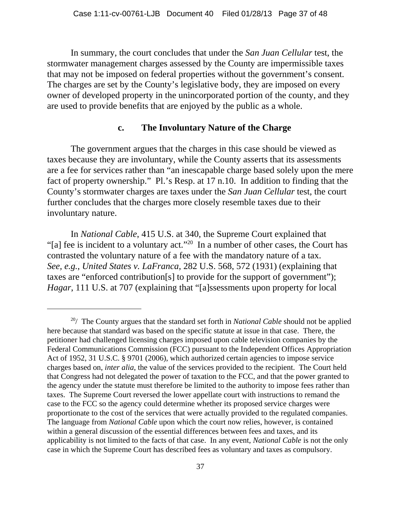In summary, the court concludes that under the *San Juan Cellular* test, the stormwater management charges assessed by the County are impermissible taxes that may not be imposed on federal properties without the government's consent. The charges are set by the County's legislative body, they are imposed on every owner of developed property in the unincorporated portion of the county, and they are used to provide benefits that are enjoyed by the public as a whole.

### **c. The Involuntary Nature of the Charge**

The government argues that the charges in this case should be viewed as taxes because they are involuntary, while the County asserts that its assessments are a fee for services rather than "an inescapable charge based solely upon the mere fact of property ownership." Pl.'s Resp. at 17 n.10. In addition to finding that the County's stormwater charges are taxes under the *San Juan Cellular* test, the court further concludes that the charges more closely resemble taxes due to their involuntary nature.

In *National Cable*, 415 U.S. at 340, the Supreme Court explained that "[a] fee is incident to a voluntary act."<sup>20</sup> In a number of other cases, the Court has contrasted the voluntary nature of a fee with the mandatory nature of a tax. *See, e.g.*, *United States v. LaFranca*, 282 U.S. 568, 572 (1931) (explaining that taxes are "enforced contribution[s] to provide for the support of government"); *Hagar*, 111 U.S. at 707 (explaining that "[a]ssessments upon property for local

<sup>20/</sup> The County argues that the standard set forth in *National Cable* should not be applied here because that standard was based on the specific statute at issue in that case. There, the petitioner had challenged licensing charges imposed upon cable television companies by the Federal Communications Commission (FCC) pursuant to the Independent Offices Appropriation Act of 1952, 31 U.S.C. § 9701 (2006), which authorized certain agencies to impose service charges based on, *inter alia*, the value of the services provided to the recipient. The Court held that Congress had not delegated the power of taxation to the FCC, and that the power granted to the agency under the statute must therefore be limited to the authority to impose fees rather than taxes. The Supreme Court reversed the lower appellate court with instructions to remand the case to the FCC so the agency could determine whether its proposed service charges were proportionate to the cost of the services that were actually provided to the regulated companies. The language from *National Cable* upon which the court now relies, however, is contained within a general discussion of the essential differences between fees and taxes, and its applicability is not limited to the facts of that case. In any event, *National Cable* is not the only case in which the Supreme Court has described fees as voluntary and taxes as compulsory.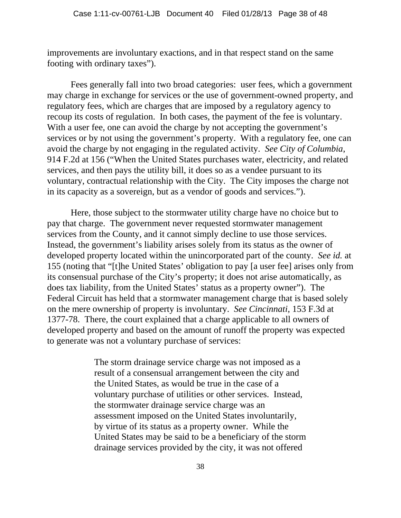improvements are involuntary exactions, and in that respect stand on the same footing with ordinary taxes").

Fees generally fall into two broad categories: user fees, which a government may charge in exchange for services or the use of government-owned property, and regulatory fees, which are charges that are imposed by a regulatory agency to recoup its costs of regulation. In both cases, the payment of the fee is voluntary. With a user fee, one can avoid the charge by not accepting the government's services or by not using the government's property. With a regulatory fee, one can avoid the charge by not engaging in the regulated activity. *See City of Columbia*, 914 F.2d at 156 ("When the United States purchases water, electricity, and related services, and then pays the utility bill, it does so as a vendee pursuant to its voluntary, contractual relationship with the City. The City imposes the charge not in its capacity as a sovereign, but as a vendor of goods and services.").

Here, those subject to the stormwater utility charge have no choice but to pay that charge. The government never requested stormwater management services from the County, and it cannot simply decline to use those services. Instead, the government's liability arises solely from its status as the owner of developed property located within the unincorporated part of the county. *See id.* at 155 (noting that "[t]he United States' obligation to pay [a user fee] arises only from its consensual purchase of the City's property; it does not arise automatically, as does tax liability, from the United States' status as a property owner"). The Federal Circuit has held that a stormwater management charge that is based solely on the mere ownership of property is involuntary. *See Cincinnati*, 153 F.3d at 1377-78. There, the court explained that a charge applicable to all owners of developed property and based on the amount of runoff the property was expected to generate was not a voluntary purchase of services:

> The storm drainage service charge was not imposed as a result of a consensual arrangement between the city and the United States, as would be true in the case of a voluntary purchase of utilities or other services. Instead, the stormwater drainage service charge was an assessment imposed on the United States involuntarily, by virtue of its status as a property owner. While the United States may be said to be a beneficiary of the storm drainage services provided by the city, it was not offered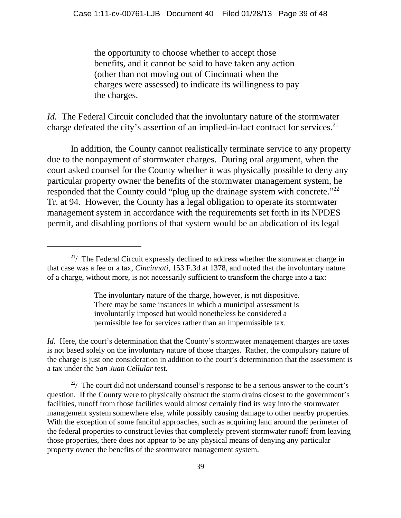the opportunity to choose whether to accept those benefits, and it cannot be said to have taken any action (other than not moving out of Cincinnati when the charges were assessed) to indicate its willingness to pay the charges.

*Id.* The Federal Circuit concluded that the involuntary nature of the stormwater charge defeated the city's assertion of an implied-in-fact contract for services.<sup>21</sup>

In addition, the County cannot realistically terminate service to any property due to the nonpayment of stormwater charges. During oral argument, when the court asked counsel for the County whether it was physically possible to deny any particular property owner the benefits of the stormwater management system, he responded that the County could "plug up the drainage system with concrete."<sup>22</sup> Tr. at 94. However, the County has a legal obligation to operate its stormwater management system in accordance with the requirements set forth in its NPDES permit, and disabling portions of that system would be an abdication of its legal

The involuntary nature of the charge, however, is not dispositive. There may be some instances in which a municipal assessment is involuntarily imposed but would nonetheless be considered a permissible fee for services rather than an impermissible tax.

*Id.* Here, the court's determination that the County's stormwater management charges are taxes is not based solely on the involuntary nature of those charges. Rather, the compulsory nature of the charge is just one consideration in addition to the court's determination that the assessment is a tax under the *San Juan Cellular* test.

 $22/$  The court did not understand counsel's response to be a serious answer to the court's question. If the County were to physically obstruct the storm drains closest to the government's facilities, runoff from those facilities would almost certainly find its way into the stormwater management system somewhere else, while possibly causing damage to other nearby properties. With the exception of some fanciful approaches, such as acquiring land around the perimeter of the federal properties to construct levies that completely prevent stormwater runoff from leaving those properties, there does not appear to be any physical means of denying any particular property owner the benefits of the stormwater management system.

 $2^{1/2}$  The Federal Circuit expressly declined to address whether the stormwater charge in that case was a fee or a tax, *Cincinnati*, 153 F.3d at 1378, and noted that the involuntary nature of a charge, without more, is not necessarily sufficient to transform the charge into a tax: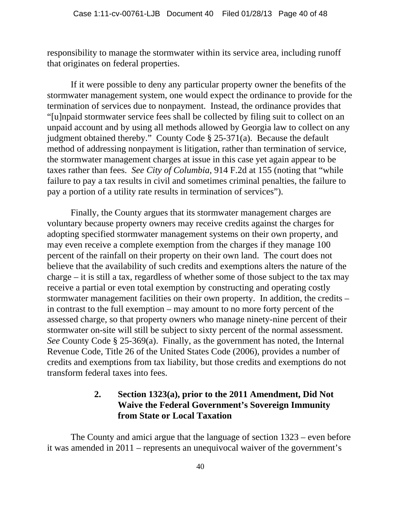responsibility to manage the stormwater within its service area, including runoff that originates on federal properties.

If it were possible to deny any particular property owner the benefits of the stormwater management system, one would expect the ordinance to provide for the termination of services due to nonpayment. Instead, the ordinance provides that "[u]npaid stormwater service fees shall be collected by filing suit to collect on an unpaid account and by using all methods allowed by Georgia law to collect on any judgment obtained thereby." County Code § 25-371(a). Because the default method of addressing nonpayment is litigation, rather than termination of service, the stormwater management charges at issue in this case yet again appear to be taxes rather than fees. *See City of Columbia*, 914 F.2d at 155 (noting that "while failure to pay a tax results in civil and sometimes criminal penalties, the failure to pay a portion of a utility rate results in termination of services").

Finally, the County argues that its stormwater management charges are voluntary because property owners may receive credits against the charges for adopting specified stormwater management systems on their own property, and may even receive a complete exemption from the charges if they manage 100 percent of the rainfall on their property on their own land. The court does not believe that the availability of such credits and exemptions alters the nature of the charge – it is still a tax, regardless of whether some of those subject to the tax may receive a partial or even total exemption by constructing and operating costly stormwater management facilities on their own property. In addition, the credits – in contrast to the full exemption – may amount to no more forty percent of the assessed charge, so that property owners who manage ninety-nine percent of their stormwater on-site will still be subject to sixty percent of the normal assessment. *See* County Code § 25-369(a). Finally, as the government has noted, the Internal Revenue Code, Title 26 of the United States Code (2006), provides a number of credits and exemptions from tax liability, but those credits and exemptions do not transform federal taxes into fees.

# **2. Section 1323(a), prior to the 2011 Amendment, Did Not Waive the Federal Government's Sovereign Immunity from State or Local Taxation**

The County and amici argue that the language of section 1323 – even before it was amended in 2011 – represents an unequivocal waiver of the government's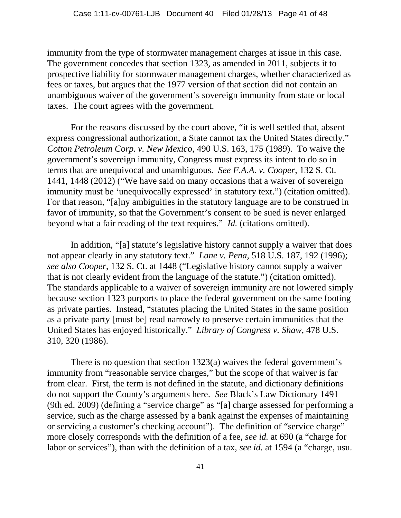immunity from the type of stormwater management charges at issue in this case. The government concedes that section 1323, as amended in 2011, subjects it to prospective liability for stormwater management charges, whether characterized as fees or taxes, but argues that the 1977 version of that section did not contain an unambiguous waiver of the government's sovereign immunity from state or local taxes. The court agrees with the government.

For the reasons discussed by the court above, "it is well settled that, absent express congressional authorization, a State cannot tax the United States directly." *Cotton Petroleum Corp. v. New Mexico*, 490 U.S. 163, 175 (1989). To waive the government's sovereign immunity, Congress must express its intent to do so in terms that are unequivocal and unambiguous. *See F.A.A. v. Cooper*, 132 S. Ct. 1441, 1448 (2012) ("We have said on many occasions that a waiver of sovereign immunity must be 'unequivocally expressed' in statutory text.") (citation omitted). For that reason, "[a]ny ambiguities in the statutory language are to be construed in favor of immunity, so that the Government's consent to be sued is never enlarged beyond what a fair reading of the text requires." *Id.* (citations omitted).

In addition, "[a] statute's legislative history cannot supply a waiver that does not appear clearly in any statutory text." *Lane v. Pena*, 518 U.S. 187, 192 (1996); *see also Cooper*, 132 S. Ct. at 1448 ("Legislative history cannot supply a waiver that is not clearly evident from the language of the statute.") (citation omitted). The standards applicable to a waiver of sovereign immunity are not lowered simply because section 1323 purports to place the federal government on the same footing as private parties. Instead, "statutes placing the United States in the same position as a private party [must be] read narrowly to preserve certain immunities that the United States has enjoyed historically." *Library of Congress v. Shaw*, 478 U.S. 310, 320 (1986).

There is no question that section 1323(a) waives the federal government's immunity from "reasonable service charges," but the scope of that waiver is far from clear. First, the term is not defined in the statute, and dictionary definitions do not support the County's arguments here. *See* Black's Law Dictionary 1491 (9th ed. 2009) (defining a "service charge" as "[a] charge assessed for performing a service, such as the charge assessed by a bank against the expenses of maintaining or servicing a customer's checking account"). The definition of "service charge" more closely corresponds with the definition of a fee, *see id.* at 690 (a "charge for labor or services"), than with the definition of a tax, *see id.* at 1594 (a "charge, usu.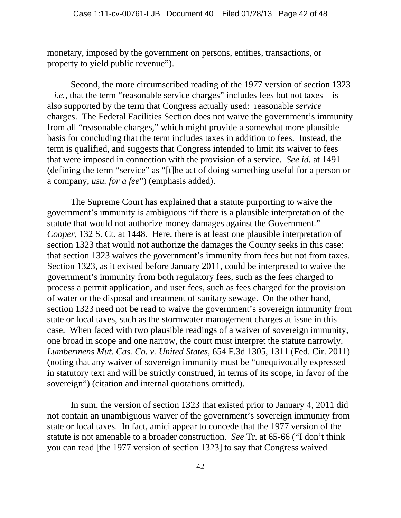monetary, imposed by the government on persons, entities, transactions, or property to yield public revenue").

Second, the more circumscribed reading of the 1977 version of section 1323  $i.e.,$  that the term "reasonable service charges" includes fees but not taxes  $-$  is also supported by the term that Congress actually used: reasonable *service* charges. The Federal Facilities Section does not waive the government's immunity from all "reasonable charges," which might provide a somewhat more plausible basis for concluding that the term includes taxes in addition to fees. Instead, the term is qualified, and suggests that Congress intended to limit its waiver to fees that were imposed in connection with the provision of a service. *See id.* at 1491 (defining the term "service" as "[t]he act of doing something useful for a person or a company, *usu. for a fee*") (emphasis added).

The Supreme Court has explained that a statute purporting to waive the government's immunity is ambiguous "if there is a plausible interpretation of the statute that would not authorize money damages against the Government." *Cooper*, 132 S. Ct. at 1448. Here, there is at least one plausible interpretation of section 1323 that would not authorize the damages the County seeks in this case: that section 1323 waives the government's immunity from fees but not from taxes. Section 1323, as it existed before January 2011, could be interpreted to waive the government's immunity from both regulatory fees, such as the fees charged to process a permit application, and user fees, such as fees charged for the provision of water or the disposal and treatment of sanitary sewage. On the other hand, section 1323 need not be read to waive the government's sovereign immunity from state or local taxes, such as the stormwater management charges at issue in this case. When faced with two plausible readings of a waiver of sovereign immunity, one broad in scope and one narrow, the court must interpret the statute narrowly. *Lumbermens Mut. Cas. Co. v. United States*, 654 F.3d 1305, 1311 (Fed. Cir. 2011) (noting that any waiver of sovereign immunity must be "unequivocally expressed in statutory text and will be strictly construed, in terms of its scope, in favor of the sovereign") (citation and internal quotations omitted).

In sum, the version of section 1323 that existed prior to January 4, 2011 did not contain an unambiguous waiver of the government's sovereign immunity from state or local taxes. In fact, amici appear to concede that the 1977 version of the statute is not amenable to a broader construction. *See* Tr. at 65-66 ("I don't think you can read [the 1977 version of section 1323] to say that Congress waived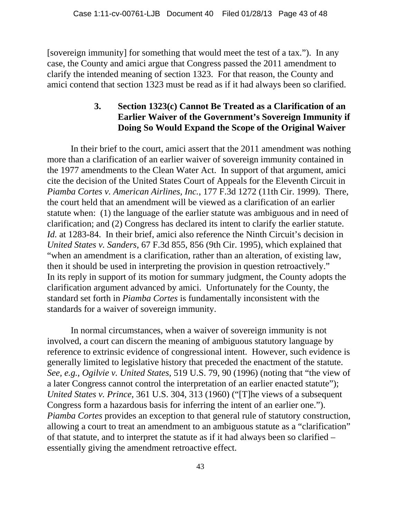[sovereign immunity] for something that would meet the test of a tax."). In any case, the County and amici argue that Congress passed the 2011 amendment to clarify the intended meaning of section 1323. For that reason, the County and amici contend that section 1323 must be read as if it had always been so clarified.

# **3. Section 1323(c) Cannot Be Treated as a Clarification of an Earlier Waiver of the Government's Sovereign Immunity if Doing So Would Expand the Scope of the Original Waiver**

In their brief to the court, amici assert that the 2011 amendment was nothing more than a clarification of an earlier waiver of sovereign immunity contained in the 1977 amendments to the Clean Water Act. In support of that argument, amici cite the decision of the United States Court of Appeals for the Eleventh Circuit in *Piamba Cortes v. American Airlines, Inc.*, 177 F.3d 1272 (11th Cir. 1999). There, the court held that an amendment will be viewed as a clarification of an earlier statute when: (1) the language of the earlier statute was ambiguous and in need of clarification; and (2) Congress has declared its intent to clarify the earlier statute. *Id.* at 1283-84. In their brief, amici also reference the Ninth Circuit's decision in *United States v. Sanders*, 67 F.3d 855, 856 (9th Cir. 1995), which explained that "when an amendment is a clarification, rather than an alteration, of existing law, then it should be used in interpreting the provision in question retroactively." In its reply in support of its motion for summary judgment, the County adopts the clarification argument advanced by amici. Unfortunately for the County, the standard set forth in *Piamba Cortes* is fundamentally inconsistent with the standards for a waiver of sovereign immunity.

In normal circumstances, when a waiver of sovereign immunity is not involved, a court can discern the meaning of ambiguous statutory language by reference to extrinsic evidence of congressional intent. However, such evidence is generally limited to legislative history that preceded the enactment of the statute. *See, e.g.*, *Ogilvie v. United States*, 519 U.S. 79, 90 (1996) (noting that "the view of a later Congress cannot control the interpretation of an earlier enacted statute"); *United States v. Prince*, 361 U.S. 304, 313 (1960) ("[T]he views of a subsequent Congress form a hazardous basis for inferring the intent of an earlier one."). *Piamba Cortes* provides an exception to that general rule of statutory construction, allowing a court to treat an amendment to an ambiguous statute as a "clarification" of that statute, and to interpret the statute as if it had always been so clarified – essentially giving the amendment retroactive effect.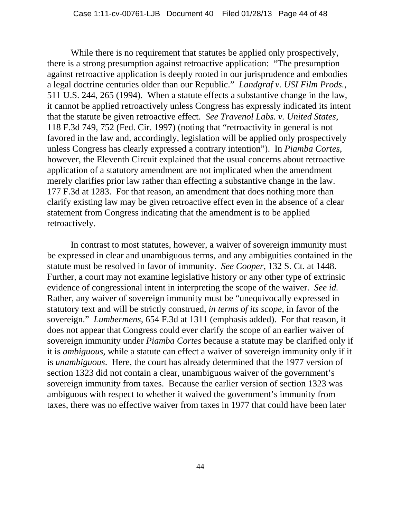While there is no requirement that statutes be applied only prospectively, there is a strong presumption against retroactive application: "The presumption against retroactive application is deeply rooted in our jurisprudence and embodies a legal doctrine centuries older than our Republic." *Landgraf v. USI Film Prods.*, 511 U.S. 244, 265 (1994). When a statute effects a substantive change in the law, it cannot be applied retroactively unless Congress has expressly indicated its intent that the statute be given retroactive effect. *See Travenol Labs. v. United States*, 118 F.3d 749, 752 (Fed. Cir. 1997) (noting that "retroactivity in general is not favored in the law and, accordingly, legislation will be applied only prospectively unless Congress has clearly expressed a contrary intention"). In *Piamba Cortes*, however, the Eleventh Circuit explained that the usual concerns about retroactive application of a statutory amendment are not implicated when the amendment merely clarifies prior law rather than effecting a substantive change in the law. 177 F.3d at 1283. For that reason, an amendment that does nothing more than clarify existing law may be given retroactive effect even in the absence of a clear statement from Congress indicating that the amendment is to be applied retroactively.

In contrast to most statutes, however, a waiver of sovereign immunity must be expressed in clear and unambiguous terms, and any ambiguities contained in the statute must be resolved in favor of immunity. *See Cooper*, 132 S. Ct. at 1448. Further, a court may not examine legislative history or any other type of extrinsic evidence of congressional intent in interpreting the scope of the waiver. *See id.* Rather, any waiver of sovereign immunity must be "unequivocally expressed in statutory text and will be strictly construed, *in terms of its scope*, in favor of the sovereign." *Lumbermens*, 654 F.3d at 1311 (emphasis added). For that reason, it does not appear that Congress could ever clarify the scope of an earlier waiver of sovereign immunity under *Piamba Cortes* because a statute may be clarified only if it is *ambiguous*, while a statute can effect a waiver of sovereign immunity only if it is *unambiguous*. Here, the court has already determined that the 1977 version of section 1323 did not contain a clear, unambiguous waiver of the government's sovereign immunity from taxes. Because the earlier version of section 1323 was ambiguous with respect to whether it waived the government's immunity from taxes, there was no effective waiver from taxes in 1977 that could have been later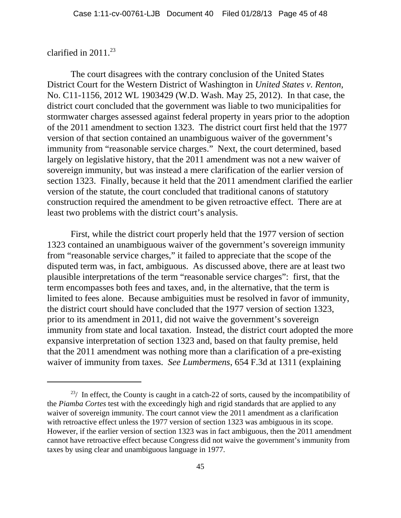## clarified in 2011.<sup>23</sup>

The court disagrees with the contrary conclusion of the United States District Court for the Western District of Washington in *United States v. Renton*, No. C11-1156, 2012 WL 1903429 (W.D. Wash. May 25, 2012). In that case, the district court concluded that the government was liable to two municipalities for stormwater charges assessed against federal property in years prior to the adoption of the 2011 amendment to section 1323. The district court first held that the 1977 version of that section contained an unambiguous waiver of the government's immunity from "reasonable service charges." Next, the court determined, based largely on legislative history, that the 2011 amendment was not a new waiver of sovereign immunity, but was instead a mere clarification of the earlier version of section 1323. Finally, because it held that the 2011 amendment clarified the earlier version of the statute, the court concluded that traditional canons of statutory construction required the amendment to be given retroactive effect. There are at least two problems with the district court's analysis.

First, while the district court properly held that the 1977 version of section 1323 contained an unambiguous waiver of the government's sovereign immunity from "reasonable service charges," it failed to appreciate that the scope of the disputed term was, in fact, ambiguous. As discussed above, there are at least two plausible interpretations of the term "reasonable service charges": first, that the term encompasses both fees and taxes, and, in the alternative, that the term is limited to fees alone. Because ambiguities must be resolved in favor of immunity, the district court should have concluded that the 1977 version of section 1323, prior to its amendment in 2011, did not waive the government's sovereign immunity from state and local taxation. Instead, the district court adopted the more expansive interpretation of section 1323 and, based on that faulty premise, held that the 2011 amendment was nothing more than a clarification of a pre-existing waiver of immunity from taxes. *See Lumbermens*, 654 F.3d at 1311 (explaining

 $23/$  In effect, the County is caught in a catch-22 of sorts, caused by the incompatibility of the *Piamba Cortes* test with the exceedingly high and rigid standards that are applied to any waiver of sovereign immunity. The court cannot view the 2011 amendment as a clarification with retroactive effect unless the 1977 version of section 1323 was ambiguous in its scope. However, if the earlier version of section 1323 was in fact ambiguous, then the 2011 amendment cannot have retroactive effect because Congress did not waive the government's immunity from taxes by using clear and unambiguous language in 1977.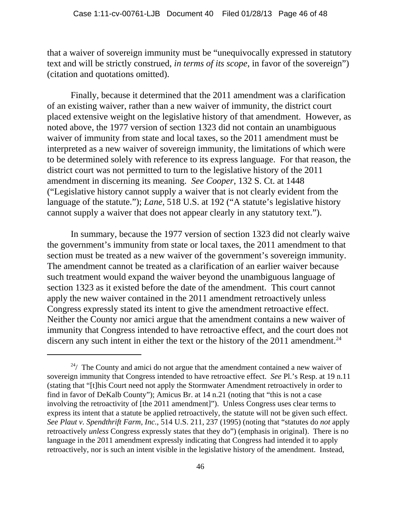that a waiver of sovereign immunity must be "unequivocally expressed in statutory text and will be strictly construed, *in terms of its scope*, in favor of the sovereign") (citation and quotations omitted).

Finally, because it determined that the 2011 amendment was a clarification of an existing waiver, rather than a new waiver of immunity, the district court placed extensive weight on the legislative history of that amendment. However, as noted above, the 1977 version of section 1323 did not contain an unambiguous waiver of immunity from state and local taxes, so the 2011 amendment must be interpreted as a new waiver of sovereign immunity, the limitations of which were to be determined solely with reference to its express language. For that reason, the district court was not permitted to turn to the legislative history of the 2011 amendment in discerning its meaning. *See Cooper*, 132 S. Ct. at 1448 ("Legislative history cannot supply a waiver that is not clearly evident from the language of the statute."); *Lane*, 518 U.S. at 192 ("A statute's legislative history cannot supply a waiver that does not appear clearly in any statutory text.").

In summary, because the 1977 version of section 1323 did not clearly waive the government's immunity from state or local taxes, the 2011 amendment to that section must be treated as a new waiver of the government's sovereign immunity. The amendment cannot be treated as a clarification of an earlier waiver because such treatment would expand the waiver beyond the unambiguous language of section 1323 as it existed before the date of the amendment. This court cannot apply the new waiver contained in the 2011 amendment retroactively unless Congress expressly stated its intent to give the amendment retroactive effect. Neither the County nor amici argue that the amendment contains a new waiver of immunity that Congress intended to have retroactive effect, and the court does not discern any such intent in either the text or the history of the  $2011$  amendment.<sup>24</sup>

 $24/$  The County and amici do not argue that the amendment contained a new waiver of sovereign immunity that Congress intended to have retroactive effect. *See* Pl.'s Resp. at 19 n.11 (stating that "[t]his Court need not apply the Stormwater Amendment retroactively in order to find in favor of DeKalb County"); Amicus Br. at 14 n.21 (noting that "this is not a case involving the retroactivity of [the 2011 amendment]"). Unless Congress uses clear terms to express its intent that a statute be applied retroactively, the statute will not be given such effect. *See Plaut v. Spendthrift Farm, Inc.*, 514 U.S. 211, 237 (1995) (noting that "statutes do *not* apply retroactively *unless* Congress expressly states that they do") (emphasis in original). There is no language in the 2011 amendment expressly indicating that Congress had intended it to apply retroactively, nor is such an intent visible in the legislative history of the amendment. Instead,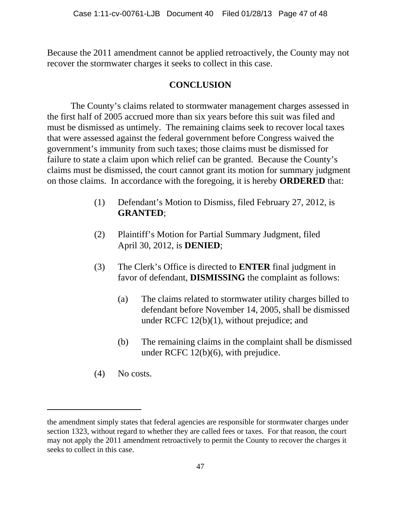Because the 2011 amendment cannot be applied retroactively, the County may not recover the stormwater charges it seeks to collect in this case.

# **CONCLUSION**

The County's claims related to stormwater management charges assessed in the first half of 2005 accrued more than six years before this suit was filed and must be dismissed as untimely. The remaining claims seek to recover local taxes that were assessed against the federal government before Congress waived the government's immunity from such taxes; those claims must be dismissed for failure to state a claim upon which relief can be granted. Because the County's claims must be dismissed, the court cannot grant its motion for summary judgment on those claims. In accordance with the foregoing, it is hereby **ORDERED** that:

- (1) Defendant's Motion to Dismiss, filed February 27, 2012, is **GRANTED**;
- (2) Plaintiff's Motion for Partial Summary Judgment, filed April 30, 2012, is **DENIED**;
- (3) The Clerk's Office is directed to **ENTER** final judgment in favor of defendant, **DISMISSING** the complaint as follows:
	- (a) The claims related to stormwater utility charges billed to defendant before November 14, 2005, shall be dismissed under RCFC 12(b)(1), without prejudice; and
	- (b) The remaining claims in the complaint shall be dismissed under RCFC 12(b)(6), with prejudice.
- (4) No costs.

the amendment simply states that federal agencies are responsible for stormwater charges under section 1323, without regard to whether they are called fees or taxes. For that reason, the court may not apply the 2011 amendment retroactively to permit the County to recover the charges it seeks to collect in this case.